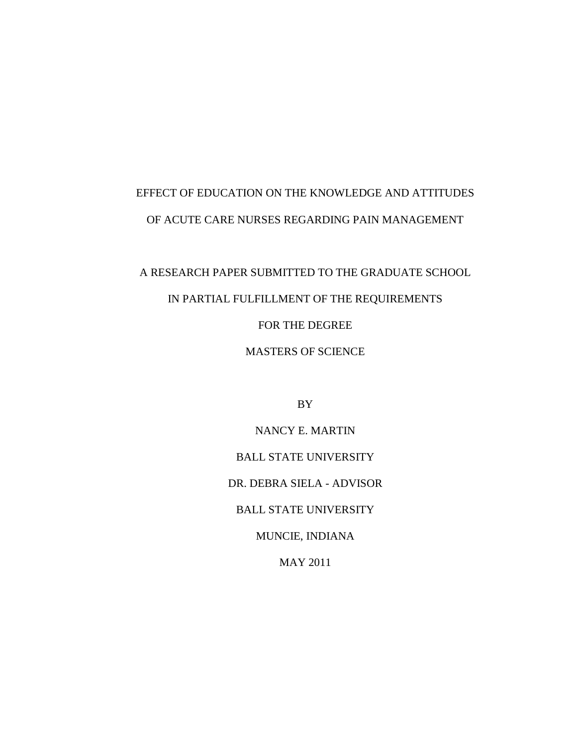# EFFECT OF EDUCATION ON THE KNOWLEDGE AND ATTITUDES OF ACUTE CARE NURSES REGARDING PAIN MANAGEMENT

# A RESEARCH PAPER SUBMITTED TO THE GRADUATE SCHOOL

## IN PARTIAL FULFILLMENT OF THE REQUIREMENTS

### FOR THE DEGREE

### MASTERS OF SCIENCE

BY

NANCY E. MARTIN BALL STATE UNIVERSITY DR. DEBRA SIELA - ADVISOR BALL STATE UNIVERSITY MUNCIE, INDIANA MAY 2011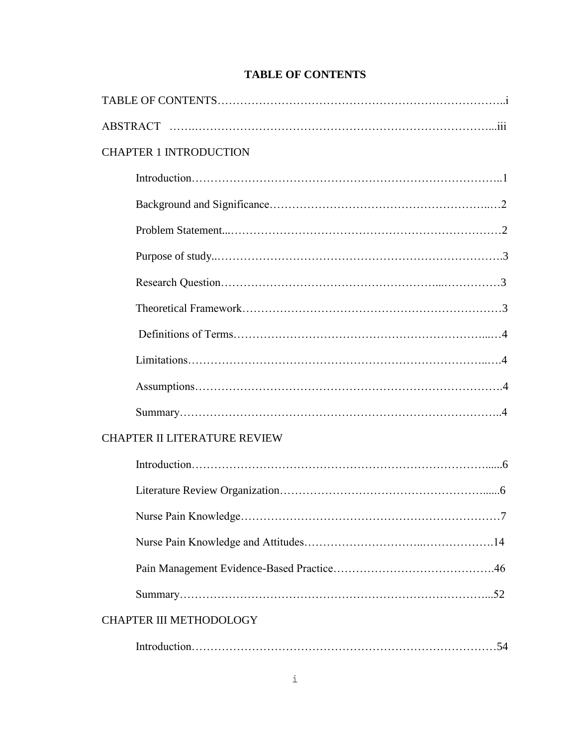|  |  | <b>TABLE OF CONTENTS</b> |
|--|--|--------------------------|
|--|--|--------------------------|

| <b>CHAPTER 1 INTRODUCTION</b>       |
|-------------------------------------|
|                                     |
|                                     |
|                                     |
|                                     |
|                                     |
|                                     |
|                                     |
|                                     |
|                                     |
|                                     |
| <b>CHAPTER II LITERATURE REVIEW</b> |
|                                     |
|                                     |
| $.7\,$                              |
|                                     |
|                                     |
|                                     |
| <b>CHAPTER III METHODOLOGY</b>      |
|                                     |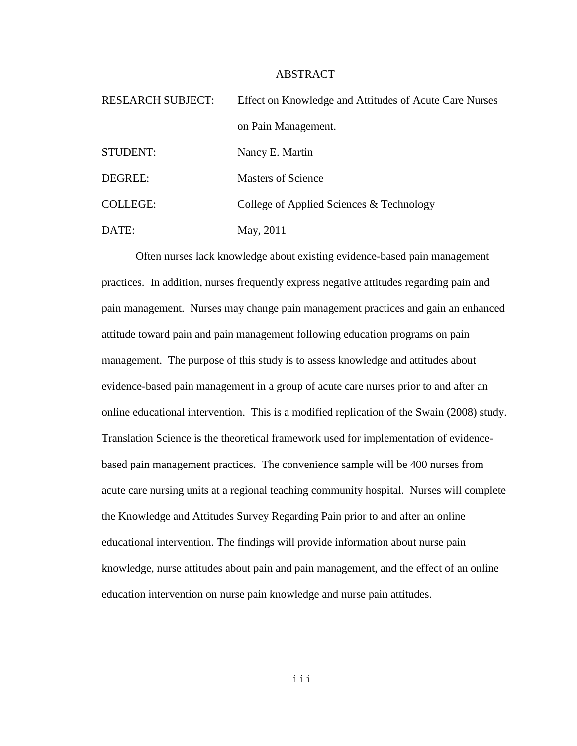#### ABSTRACT

| <b>RESEARCH SUBJECT:</b> | Effect on Knowledge and Attitudes of Acute Care Nurses |  |
|--------------------------|--------------------------------------------------------|--|
|                          | on Pain Management.                                    |  |
| STUDENT:                 | Nancy E. Martin                                        |  |
| DEGREE:                  | <b>Masters of Science</b>                              |  |
| <b>COLLEGE:</b>          | College of Applied Sciences & Technology               |  |
| DATE:                    | May, 2011                                              |  |

Often nurses lack knowledge about existing evidence-based pain management practices. In addition, nurses frequently express negative attitudes regarding pain and pain management. Nurses may change pain management practices and gain an enhanced attitude toward pain and pain management following education programs on pain management. The purpose of this study is to assess knowledge and attitudes about evidence-based pain management in a group of acute care nurses prior to and after an online educational intervention. This is a modified replication of the Swain (2008) study. Translation Science is the theoretical framework used for implementation of evidencebased pain management practices. The convenience sample will be 400 nurses from acute care nursing units at a regional teaching community hospital. Nurses will complete the Knowledge and Attitudes Survey Regarding Pain prior to and after an online educational intervention. The findings will provide information about nurse pain knowledge, nurse attitudes about pain and pain management, and the effect of an online education intervention on nurse pain knowledge and nurse pain attitudes.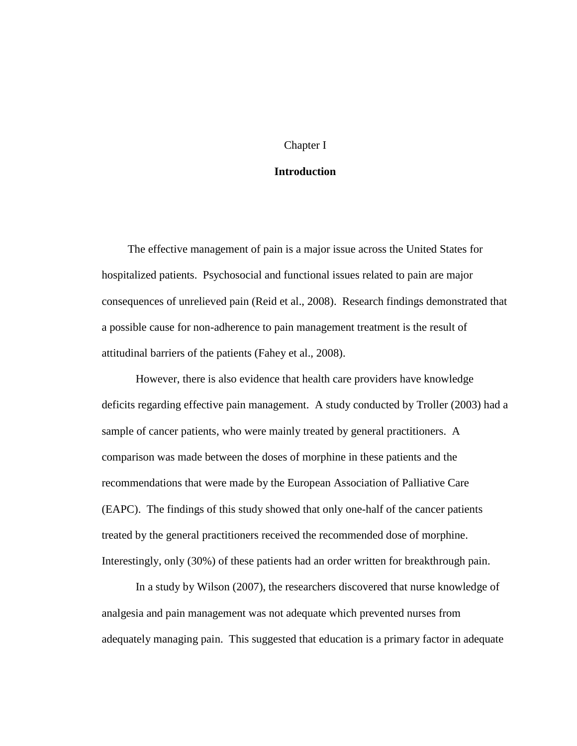#### Chapter I

#### **Introduction**

The effective management of pain is a major issue across the United States for hospitalized patients. Psychosocial and functional issues related to pain are major consequences of unrelieved pain (Reid et al., 2008). Research findings demonstrated that a possible cause for non-adherence to pain management treatment is the result of attitudinal barriers of the patients (Fahey et al., 2008).

However, there is also evidence that health care providers have knowledge deficits regarding effective pain management. A study conducted by Troller (2003) had a sample of cancer patients, who were mainly treated by general practitioners. A comparison was made between the doses of morphine in these patients and the recommendations that were made by the European Association of Palliative Care (EAPC). The findings of this study showed that only one-half of the cancer patients treated by the general practitioners received the recommended dose of morphine. Interestingly, only (30%) of these patients had an order written for breakthrough pain.

In a study by Wilson (2007), the researchers discovered that nurse knowledge of analgesia and pain management was not adequate which prevented nurses from adequately managing pain. This suggested that education is a primary factor in adequate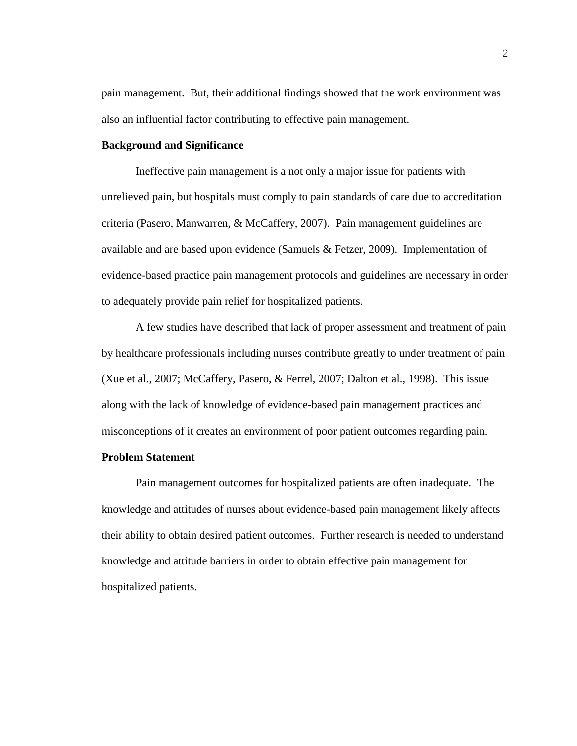pain management. But, their additional findings showed that the work environment was also an influential factor contributing to effective pain management.

#### **Background and Significance**

Ineffective pain management is a not only a major issue for patients with unrelieved pain, but hospitals must comply to pain standards of care due to accreditation criteria (Pasero, Manwarren, & McCaffery, 2007). Pain management guidelines are available and are based upon evidence (Samuels & Fetzer, 2009). Implementation of evidence-based practice pain management protocols and guidelines are necessary in order to adequately provide pain relief for hospitalized patients.

A few studies have described that lack of proper assessment and treatment of pain by healthcare professionals including nurses contribute greatly to under treatment of pain (Xue et al., 2007; McCaffery, Pasero, & Ferrel, 2007; Dalton et al., 1998). This issue along with the lack of knowledge of evidence-based pain management practices and misconceptions of it creates an environment of poor patient outcomes regarding pain.

#### **Problem Statement**

Pain management outcomes for hospitalized patients are often inadequate. The knowledge and attitudes of nurses about evidence-based pain management likely affects their ability to obtain desired patient outcomes. Further research is needed to understand knowledge and attitude barriers in order to obtain effective pain management for hospitalized patients.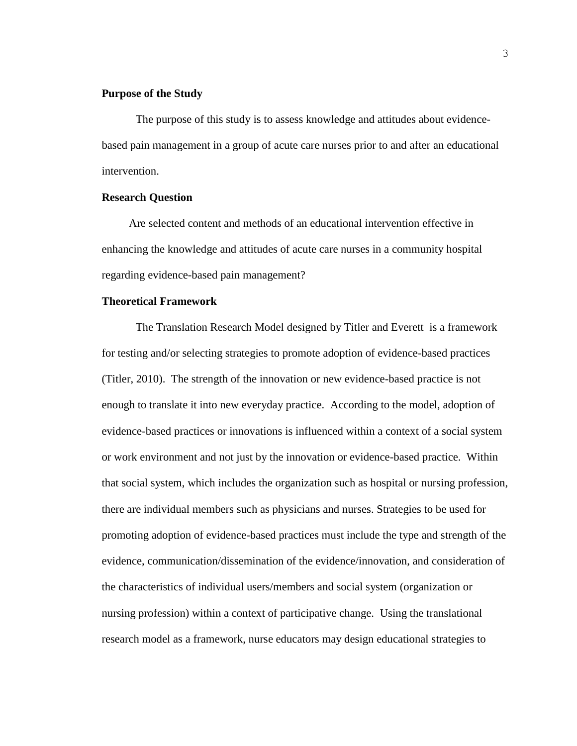#### **Purpose of the Study**

The purpose of this study is to assess knowledge and attitudes about evidencebased pain management in a group of acute care nurses prior to and after an educational intervention.

#### **Research Question**

Are selected content and methods of an educational intervention effective in enhancing the knowledge and attitudes of acute care nurses in a community hospital regarding evidence-based pain management?

#### **Theoretical Framework**

The Translation Research Model designed by Titler and Everett is a framework for testing and/or selecting strategies to promote adoption of evidence-based practices (Titler, 2010). The strength of the innovation or new evidence-based practice is not enough to translate it into new everyday practice. According to the model, adoption of evidence-based practices or innovations is influenced within a context of a social system or work environment and not just by the innovation or evidence-based practice. Within that social system, which includes the organization such as hospital or nursing profession, there are individual members such as physicians and nurses. Strategies to be used for promoting adoption of evidence-based practices must include the type and strength of the evidence, communication/dissemination of the evidence/innovation, and consideration of the characteristics of individual users/members and social system (organization or nursing profession) within a context of participative change. Using the translational research model as a framework, nurse educators may design educational strategies to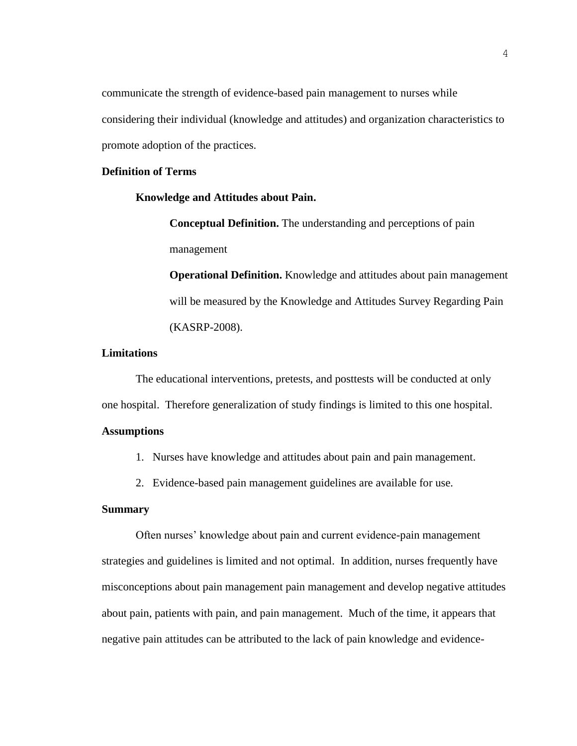communicate the strength of evidence-based pain management to nurses while considering their individual (knowledge and attitudes) and organization characteristics to promote adoption of the practices.

#### **Definition of Terms**

#### **Knowledge and Attitudes about Pain.**

**Conceptual Definition.** The understanding and perceptions of pain management

**Operational Definition.** Knowledge and attitudes about pain management will be measured by the Knowledge and Attitudes Survey Regarding Pain (KASRP-2008).

#### **Limitations**

The educational interventions, pretests, and posttests will be conducted at only one hospital. Therefore generalization of study findings is limited to this one hospital.

#### **Assumptions**

- 1. Nurses have knowledge and attitudes about pain and pain management.
- 2. Evidence-based pain management guidelines are available for use.

#### **Summary**

Often nurses' knowledge about pain and current evidence-pain management strategies and guidelines is limited and not optimal. In addition, nurses frequently have misconceptions about pain management pain management and develop negative attitudes about pain, patients with pain, and pain management. Much of the time, it appears that negative pain attitudes can be attributed to the lack of pain knowledge and evidence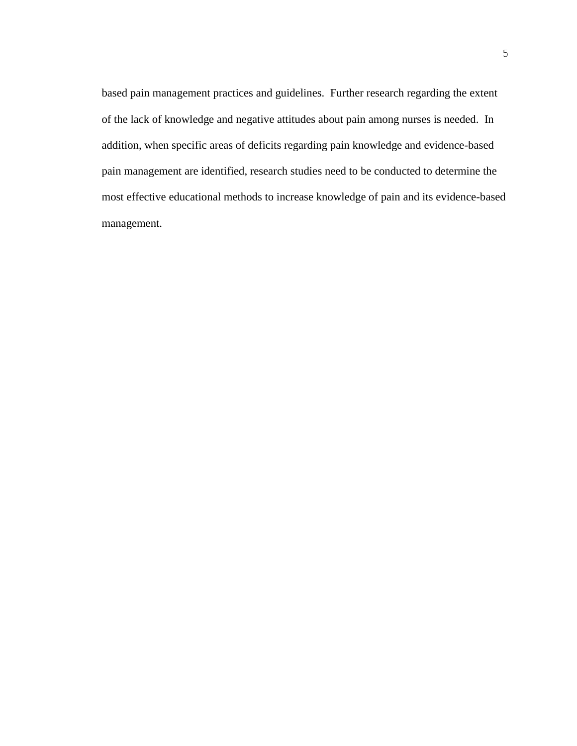based pain management practices and guidelines. Further research regarding the extent of the lack of knowledge and negative attitudes about pain among nurses is needed. In addition, when specific areas of deficits regarding pain knowledge and evidence-based pain management are identified, research studies need to be conducted to determine the most effective educational methods to increase knowledge of pain and its evidence-based management.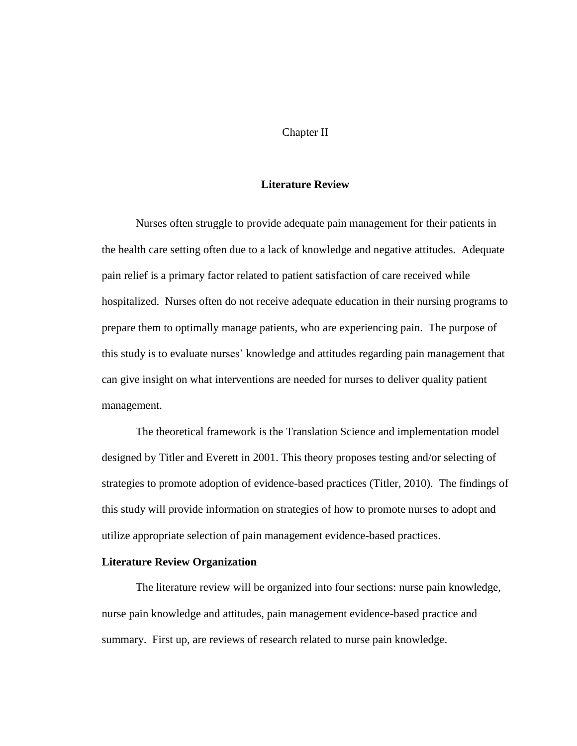#### Chapter II

#### **Literature Review**

Nurses often struggle to provide adequate pain management for their patients in the health care setting often due to a lack of knowledge and negative attitudes. Adequate pain relief is a primary factor related to patient satisfaction of care received while hospitalized. Nurses often do not receive adequate education in their nursing programs to prepare them to optimally manage patients, who are experiencing pain. The purpose of this study is to evaluate nurses' knowledge and attitudes regarding pain management that can give insight on what interventions are needed for nurses to deliver quality patient management.

The theoretical framework is the Translation Science and implementation model designed by Titler and Everett in 2001. This theory proposes testing and/or selecting of strategies to promote adoption of evidence-based practices (Titler, 2010). The findings of this study will provide information on strategies of how to promote nurses to adopt and utilize appropriate selection of pain management evidence-based practices.

#### **Literature Review Organization**

The literature review will be organized into four sections: nurse pain knowledge, nurse pain knowledge and attitudes, pain management evidence-based practice and summary. First up, are reviews of research related to nurse pain knowledge.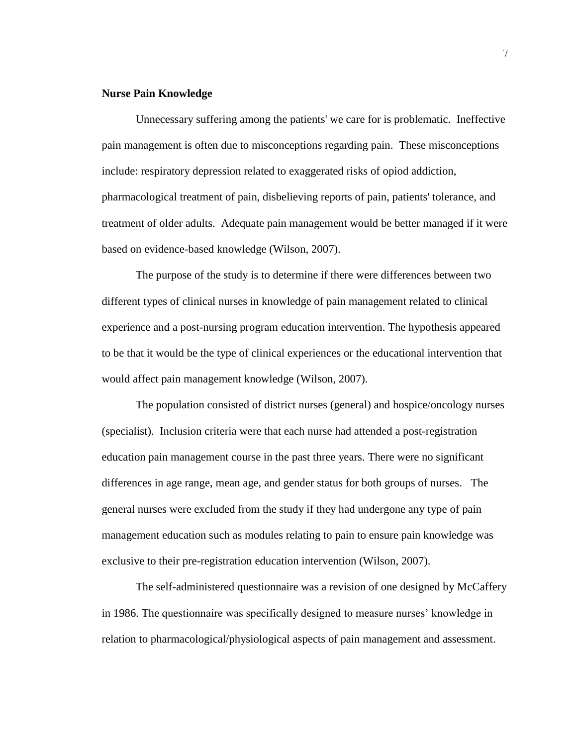#### **Nurse Pain Knowledge**

Unnecessary suffering among the patients' we care for is problematic. Ineffective pain management is often due to misconceptions regarding pain. These misconceptions include: respiratory depression related to exaggerated risks of opiod addiction, pharmacological treatment of pain, disbelieving reports of pain, patients' tolerance, and treatment of older adults. Adequate pain management would be better managed if it were based on evidence-based knowledge (Wilson, 2007).

The purpose of the study is to determine if there were differences between two different types of clinical nurses in knowledge of pain management related to clinical experience and a post-nursing program education intervention. The hypothesis appeared to be that it would be the type of clinical experiences or the educational intervention that would affect pain management knowledge (Wilson, 2007).

The population consisted of district nurses (general) and hospice/oncology nurses (specialist). Inclusion criteria were that each nurse had attended a post-registration education pain management course in the past three years. There were no significant differences in age range, mean age, and gender status for both groups of nurses. The general nurses were excluded from the study if they had undergone any type of pain management education such as modules relating to pain to ensure pain knowledge was exclusive to their pre-registration education intervention (Wilson, 2007).

The self-administered questionnaire was a revision of one designed by McCaffery in 1986. The questionnaire was specifically designed to measure nurses' knowledge in relation to pharmacological/physiological aspects of pain management and assessment.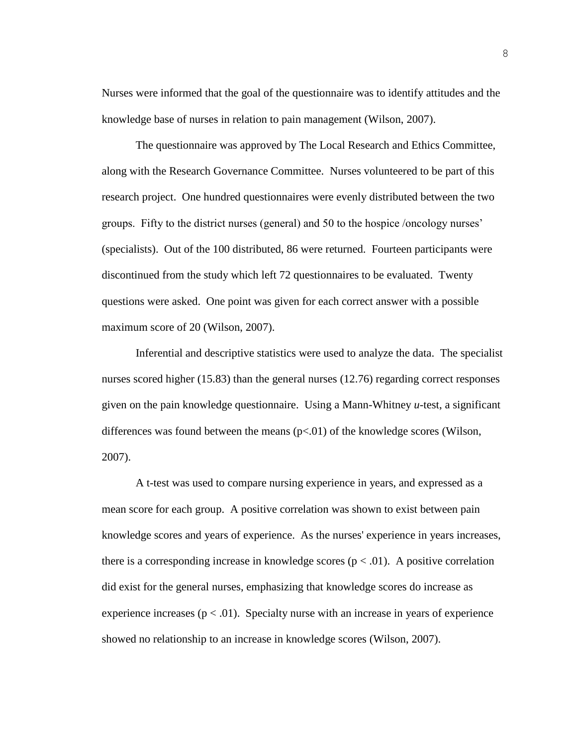Nurses were informed that the goal of the questionnaire was to identify attitudes and the knowledge base of nurses in relation to pain management (Wilson, 2007).

The questionnaire was approved by The Local Research and Ethics Committee, along with the Research Governance Committee. Nurses volunteered to be part of this research project. One hundred questionnaires were evenly distributed between the two groups. Fifty to the district nurses (general) and 50 to the hospice /oncology nurses' (specialists). Out of the 100 distributed, 86 were returned. Fourteen participants were discontinued from the study which left 72 questionnaires to be evaluated. Twenty questions were asked. One point was given for each correct answer with a possible maximum score of 20 (Wilson, 2007).

Inferential and descriptive statistics were used to analyze the data. The specialist nurses scored higher (15.83) than the general nurses (12.76) regarding correct responses given on the pain knowledge questionnaire. Using a Mann-Whitney *u*-test, a significant differences was found between the means  $(p<0.01)$  of the knowledge scores (Wilson, 2007).

A t-test was used to compare nursing experience in years, and expressed as a mean score for each group. A positive correlation was shown to exist between pain knowledge scores and years of experience. As the nurses' experience in years increases, there is a corresponding increase in knowledge scores  $(p < .01)$ . A positive correlation did exist for the general nurses, emphasizing that knowledge scores do increase as experience increases ( $p < .01$ ). Specialty nurse with an increase in years of experience showed no relationship to an increase in knowledge scores (Wilson, 2007).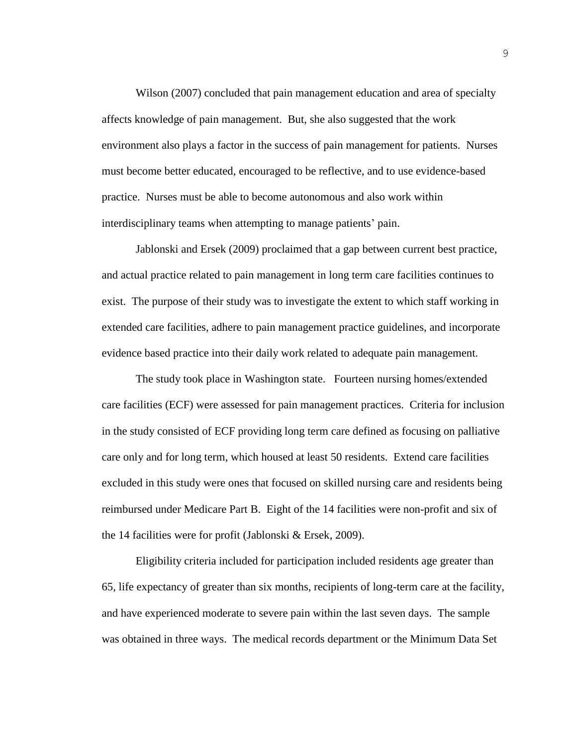Wilson (2007) concluded that pain management education and area of specialty affects knowledge of pain management. But, she also suggested that the work environment also plays a factor in the success of pain management for patients. Nurses must become better educated, encouraged to be reflective, and to use evidence-based practice. Nurses must be able to become autonomous and also work within interdisciplinary teams when attempting to manage patients' pain.

Jablonski and Ersek (2009) proclaimed that a gap between current best practice, and actual practice related to pain management in long term care facilities continues to exist. The purpose of their study was to investigate the extent to which staff working in extended care facilities, adhere to pain management practice guidelines, and incorporate evidence based practice into their daily work related to adequate pain management.

The study took place in Washington state. Fourteen nursing homes/extended care facilities (ECF) were assessed for pain management practices. Criteria for inclusion in the study consisted of ECF providing long term care defined as focusing on palliative care only and for long term, which housed at least 50 residents. Extend care facilities excluded in this study were ones that focused on skilled nursing care and residents being reimbursed under Medicare Part B. Eight of the 14 facilities were non-profit and six of the 14 facilities were for profit (Jablonski & Ersek, 2009).

Eligibility criteria included for participation included residents age greater than 65, life expectancy of greater than six months, recipients of long-term care at the facility, and have experienced moderate to severe pain within the last seven days. The sample was obtained in three ways. The medical records department or the Minimum Data Set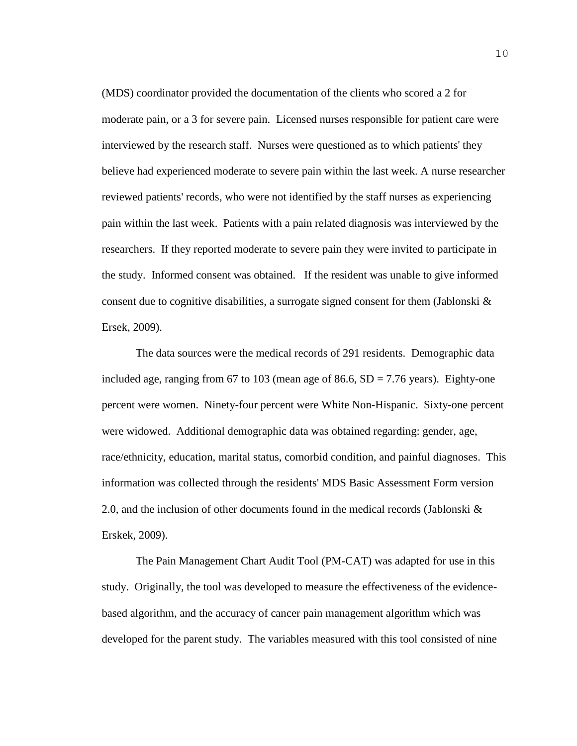(MDS) coordinator provided the documentation of the clients who scored a 2 for moderate pain, or a 3 for severe pain. Licensed nurses responsible for patient care were interviewed by the research staff. Nurses were questioned as to which patients' they believe had experienced moderate to severe pain within the last week. A nurse researcher reviewed patients' records, who were not identified by the staff nurses as experiencing pain within the last week. Patients with a pain related diagnosis was interviewed by the researchers. If they reported moderate to severe pain they were invited to participate in the study. Informed consent was obtained. If the resident was unable to give informed consent due to cognitive disabilities, a surrogate signed consent for them (Jablonski  $\&$ Ersek, 2009).

The data sources were the medical records of 291 residents. Demographic data included age, ranging from 67 to 103 (mean age of 86.6,  $SD = 7.76$  years). Eighty-one percent were women. Ninety-four percent were White Non-Hispanic. Sixty-one percent were widowed. Additional demographic data was obtained regarding: gender, age, race/ethnicity, education, marital status, comorbid condition, and painful diagnoses. This information was collected through the residents' MDS Basic Assessment Form version 2.0, and the inclusion of other documents found in the medical records (Jablonski & Erskek, 2009).

The Pain Management Chart Audit Tool (PM-CAT) was adapted for use in this study. Originally, the tool was developed to measure the effectiveness of the evidencebased algorithm, and the accuracy of cancer pain management algorithm which was developed for the parent study. The variables measured with this tool consisted of nine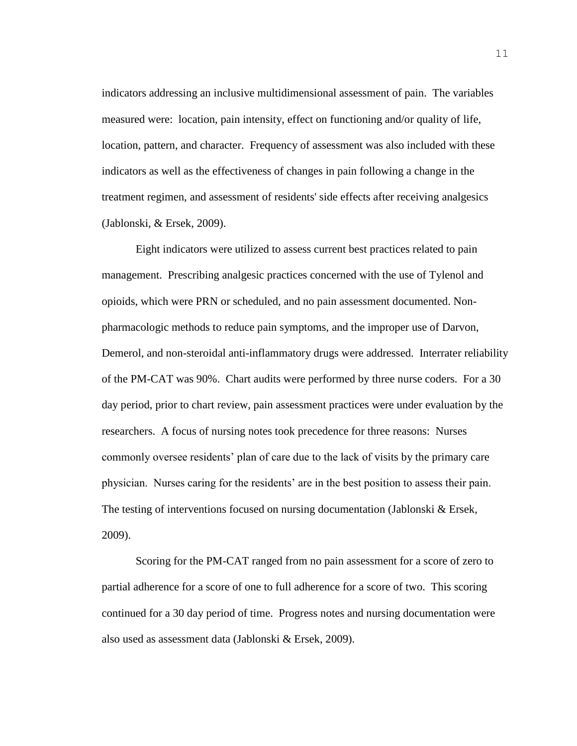indicators addressing an inclusive multidimensional assessment of pain. The variables measured were: location, pain intensity, effect on functioning and/or quality of life, location, pattern, and character. Frequency of assessment was also included with these indicators as well as the effectiveness of changes in pain following a change in the treatment regimen, and assessment of residents' side effects after receiving analgesics (Jablonski, & Ersek, 2009).

Eight indicators were utilized to assess current best practices related to pain management. Prescribing analgesic practices concerned with the use of Tylenol and opioids, which were PRN or scheduled, and no pain assessment documented. Nonpharmacologic methods to reduce pain symptoms, and the improper use of Darvon, Demerol, and non-steroidal anti-inflammatory drugs were addressed. Interrater reliability of the PM-CAT was 90%. Chart audits were performed by three nurse coders. For a 30 day period, prior to chart review, pain assessment practices were under evaluation by the researchers. A focus of nursing notes took precedence for three reasons: Nurses commonly oversee residents' plan of care due to the lack of visits by the primary care physician. Nurses caring for the residents' are in the best position to assess their pain. The testing of interventions focused on nursing documentation (Jablonski & Ersek, 2009).

Scoring for the PM-CAT ranged from no pain assessment for a score of zero to partial adherence for a score of one to full adherence for a score of two. This scoring continued for a 30 day period of time. Progress notes and nursing documentation were also used as assessment data (Jablonski & Ersek, 2009).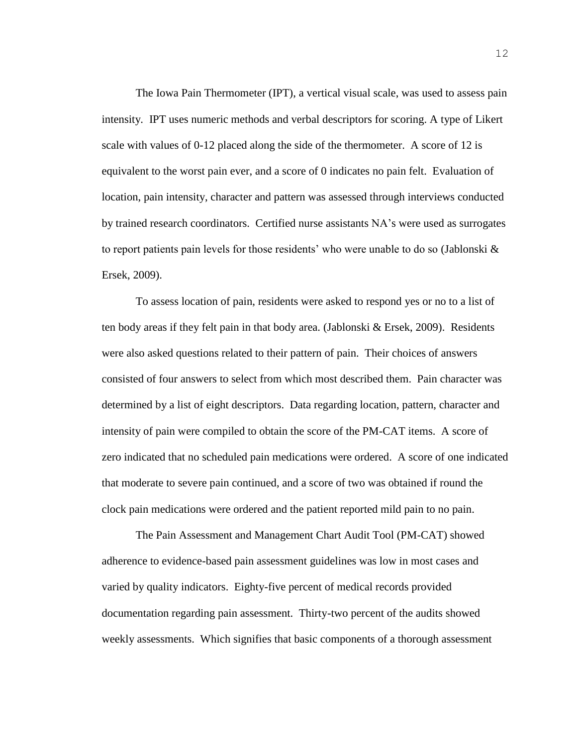The Iowa Pain Thermometer (IPT), a vertical visual scale, was used to assess pain intensity. IPT uses numeric methods and verbal descriptors for scoring. A type of Likert scale with values of 0-12 placed along the side of the thermometer. A score of 12 is equivalent to the worst pain ever, and a score of 0 indicates no pain felt. Evaluation of location, pain intensity, character and pattern was assessed through interviews conducted by trained research coordinators. Certified nurse assistants NA's were used as surrogates to report patients pain levels for those residents' who were unable to do so (Jablonski & Ersek, 2009).

To assess location of pain, residents were asked to respond yes or no to a list of ten body areas if they felt pain in that body area. (Jablonski & Ersek, 2009). Residents were also asked questions related to their pattern of pain. Their choices of answers consisted of four answers to select from which most described them. Pain character was determined by a list of eight descriptors. Data regarding location, pattern, character and intensity of pain were compiled to obtain the score of the PM-CAT items. A score of zero indicated that no scheduled pain medications were ordered. A score of one indicated that moderate to severe pain continued, and a score of two was obtained if round the clock pain medications were ordered and the patient reported mild pain to no pain.

The Pain Assessment and Management Chart Audit Tool (PM-CAT) showed adherence to evidence-based pain assessment guidelines was low in most cases and varied by quality indicators. Eighty-five percent of medical records provided documentation regarding pain assessment. Thirty-two percent of the audits showed weekly assessments. Which signifies that basic components of a thorough assessment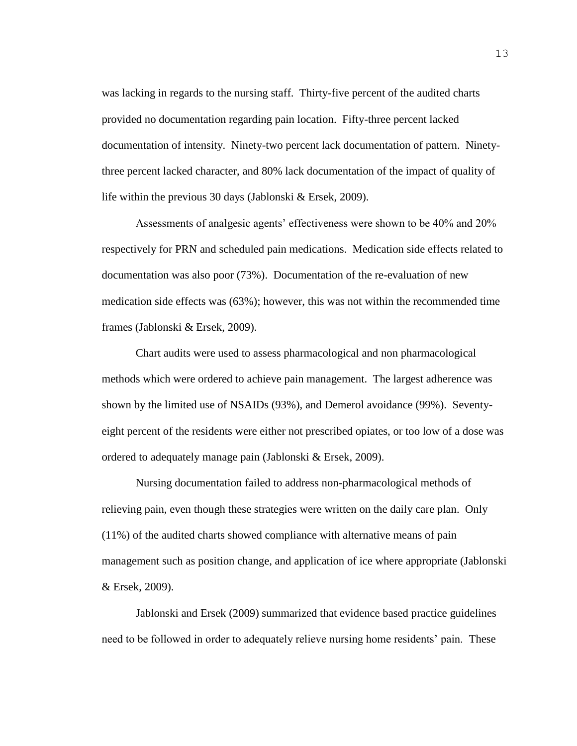was lacking in regards to the nursing staff. Thirty-five percent of the audited charts provided no documentation regarding pain location. Fifty-three percent lacked documentation of intensity. Ninety-two percent lack documentation of pattern. Ninetythree percent lacked character, and 80% lack documentation of the impact of quality of life within the previous 30 days (Jablonski & Ersek, 2009).

Assessments of analgesic agents' effectiveness were shown to be 40% and 20% respectively for PRN and scheduled pain medications. Medication side effects related to documentation was also poor (73%). Documentation of the re-evaluation of new medication side effects was (63%); however, this was not within the recommended time frames (Jablonski & Ersek, 2009).

Chart audits were used to assess pharmacological and non pharmacological methods which were ordered to achieve pain management. The largest adherence was shown by the limited use of NSAIDs (93%), and Demerol avoidance (99%). Seventyeight percent of the residents were either not prescribed opiates, or too low of a dose was ordered to adequately manage pain (Jablonski & Ersek, 2009).

Nursing documentation failed to address non-pharmacological methods of relieving pain, even though these strategies were written on the daily care plan. Only (11%) of the audited charts showed compliance with alternative means of pain management such as position change, and application of ice where appropriate (Jablonski & Ersek, 2009).

Jablonski and Ersek (2009) summarized that evidence based practice guidelines need to be followed in order to adequately relieve nursing home residents' pain. These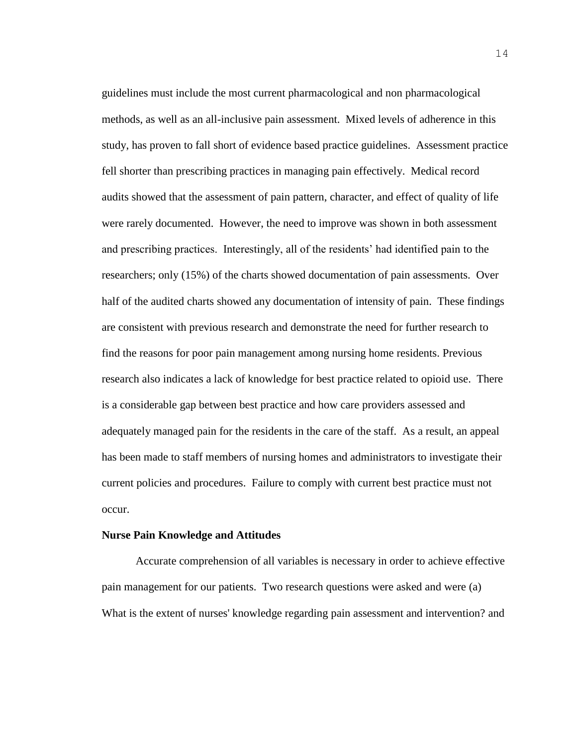guidelines must include the most current pharmacological and non pharmacological methods, as well as an all-inclusive pain assessment. Mixed levels of adherence in this study, has proven to fall short of evidence based practice guidelines. Assessment practice fell shorter than prescribing practices in managing pain effectively. Medical record audits showed that the assessment of pain pattern, character, and effect of quality of life were rarely documented. However, the need to improve was shown in both assessment and prescribing practices. Interestingly, all of the residents' had identified pain to the researchers; only (15%) of the charts showed documentation of pain assessments. Over half of the audited charts showed any documentation of intensity of pain. These findings are consistent with previous research and demonstrate the need for further research to find the reasons for poor pain management among nursing home residents. Previous research also indicates a lack of knowledge for best practice related to opioid use. There is a considerable gap between best practice and how care providers assessed and adequately managed pain for the residents in the care of the staff. As a result, an appeal has been made to staff members of nursing homes and administrators to investigate their current policies and procedures. Failure to comply with current best practice must not occur.

#### **Nurse Pain Knowledge and Attitudes**

Accurate comprehension of all variables is necessary in order to achieve effective pain management for our patients. Two research questions were asked and were (a) What is the extent of nurses' knowledge regarding pain assessment and intervention? and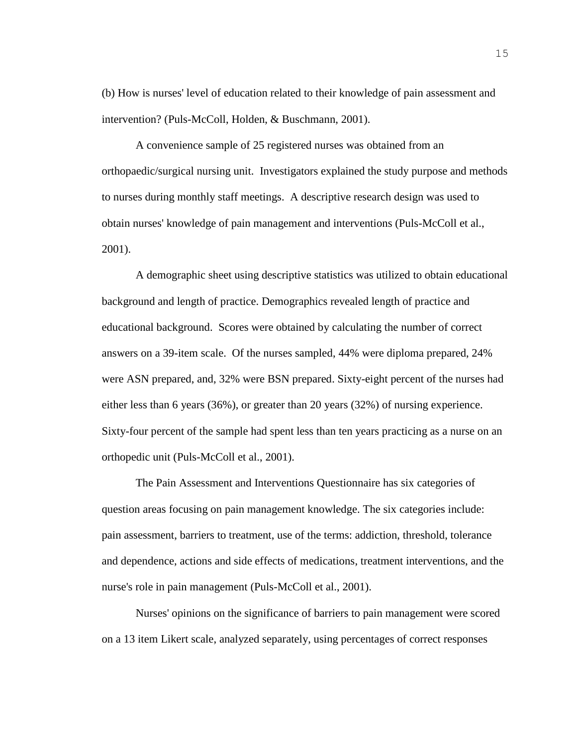(b) How is nurses' level of education related to their knowledge of pain assessment and intervention? (Puls-McColl, Holden, & Buschmann, 2001).

A convenience sample of 25 registered nurses was obtained from an orthopaedic/surgical nursing unit. Investigators explained the study purpose and methods to nurses during monthly staff meetings. A descriptive research design was used to obtain nurses' knowledge of pain management and interventions (Puls-McColl et al., 2001).

A demographic sheet using descriptive statistics was utilized to obtain educational background and length of practice. Demographics revealed length of practice and educational background. Scores were obtained by calculating the number of correct answers on a 39-item scale. Of the nurses sampled, 44% were diploma prepared, 24% were ASN prepared, and, 32% were BSN prepared. Sixty-eight percent of the nurses had either less than 6 years (36%), or greater than 20 years (32%) of nursing experience. Sixty-four percent of the sample had spent less than ten years practicing as a nurse on an orthopedic unit (Puls-McColl et al., 2001).

The Pain Assessment and Interventions Questionnaire has six categories of question areas focusing on pain management knowledge. The six categories include: pain assessment, barriers to treatment, use of the terms: addiction, threshold, tolerance and dependence, actions and side effects of medications, treatment interventions, and the nurse's role in pain management (Puls-McColl et al., 2001).

Nurses' opinions on the significance of barriers to pain management were scored on a 13 item Likert scale, analyzed separately, using percentages of correct responses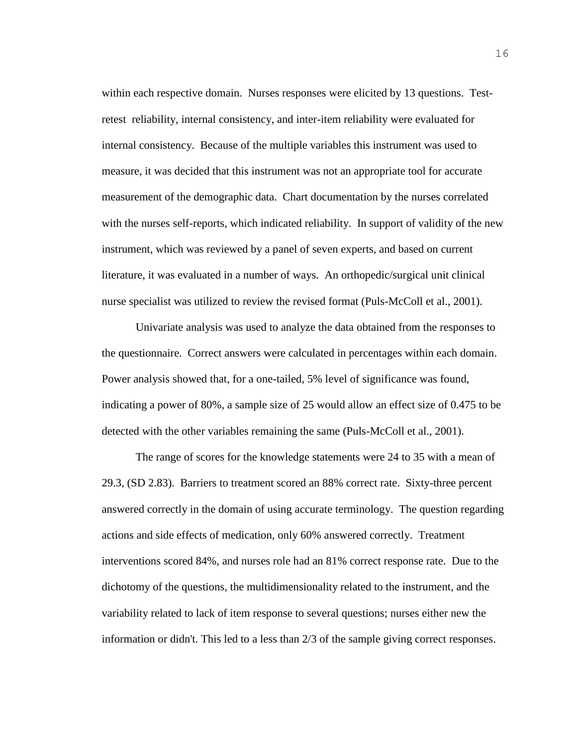within each respective domain. Nurses responses were elicited by 13 questions. Testretest reliability, internal consistency, and inter-item reliability were evaluated for internal consistency. Because of the multiple variables this instrument was used to measure, it was decided that this instrument was not an appropriate tool for accurate measurement of the demographic data. Chart documentation by the nurses correlated with the nurses self-reports, which indicated reliability. In support of validity of the new instrument, which was reviewed by a panel of seven experts, and based on current literature, it was evaluated in a number of ways. An orthopedic/surgical unit clinical nurse specialist was utilized to review the revised format (Puls-McColl et al., 2001).

Univariate analysis was used to analyze the data obtained from the responses to the questionnaire. Correct answers were calculated in percentages within each domain. Power analysis showed that, for a one-tailed, 5% level of significance was found, indicating a power of 80%, a sample size of 25 would allow an effect size of 0.475 to be detected with the other variables remaining the same (Puls-McColl et al., 2001).

The range of scores for the knowledge statements were 24 to 35 with a mean of 29.3, (SD 2.83). Barriers to treatment scored an 88% correct rate. Sixty-three percent answered correctly in the domain of using accurate terminology. The question regarding actions and side effects of medication, only 60% answered correctly. Treatment interventions scored 84%, and nurses role had an 81% correct response rate. Due to the dichotomy of the questions, the multidimensionality related to the instrument, and the variability related to lack of item response to several questions; nurses either new the information or didn't. This led to a less than 2/3 of the sample giving correct responses.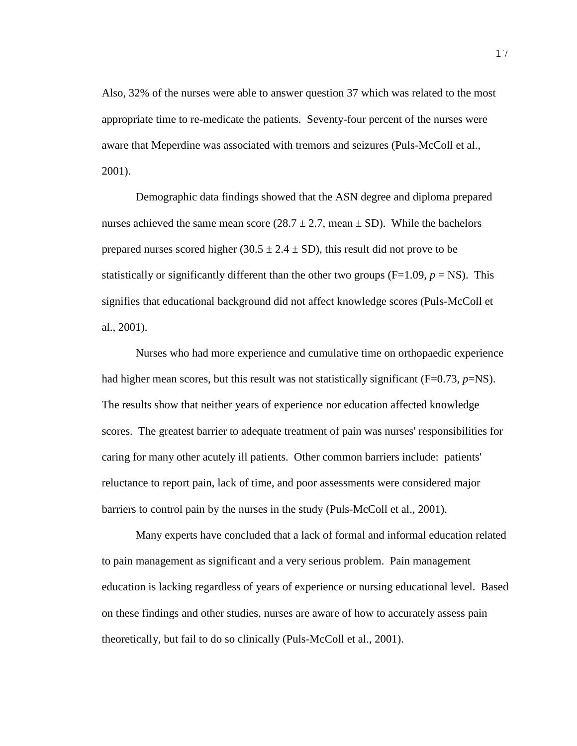Also, 32% of the nurses were able to answer question 37 which was related to the most appropriate time to re-medicate the patients. Seventy-four percent of the nurses were aware that Meperdine was associated with tremors and seizures (Puls-McColl et al., 2001).

Demographic data findings showed that the ASN degree and diploma prepared nurses achieved the same mean score  $(28.7 \pm 2.7, \text{mean} \pm \text{SD})$ . While the bachelors prepared nurses scored higher (30.5  $\pm$  2.4  $\pm$  SD), this result did not prove to be statistically or significantly different than the other two groups  $(F=1.09, p = NS)$ . This signifies that educational background did not affect knowledge scores (Puls-McColl et al., 2001).

Nurses who had more experience and cumulative time on orthopaedic experience had higher mean scores, but this result was not statistically significant (F=0.73, *p*=NS). The results show that neither years of experience nor education affected knowledge scores. The greatest barrier to adequate treatment of pain was nurses' responsibilities for caring for many other acutely ill patients. Other common barriers include: patients' reluctance to report pain, lack of time, and poor assessments were considered major barriers to control pain by the nurses in the study (Puls-McColl et al., 2001).

Many experts have concluded that a lack of formal and informal education related to pain management as significant and a very serious problem. Pain management education is lacking regardless of years of experience or nursing educational level. Based on these findings and other studies, nurses are aware of how to accurately assess pain theoretically, but fail to do so clinically (Puls-McColl et al., 2001).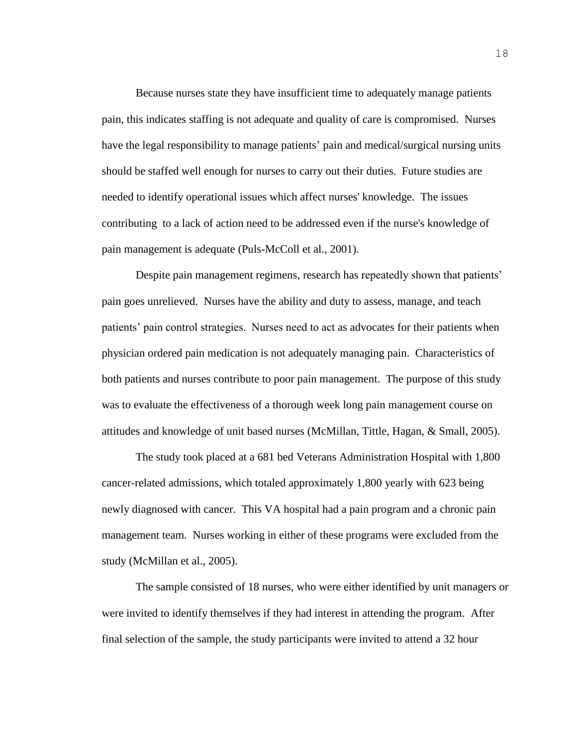Because nurses state they have insufficient time to adequately manage patients pain, this indicates staffing is not adequate and quality of care is compromised. Nurses have the legal responsibility to manage patients' pain and medical/surgical nursing units should be staffed well enough for nurses to carry out their duties. Future studies are needed to identify operational issues which affect nurses' knowledge. The issues contributing to a lack of action need to be addressed even if the nurse's knowledge of pain management is adequate (Puls-McColl et al., 2001).

Despite pain management regimens, research has repeatedly shown that patients' pain goes unrelieved. Nurses have the ability and duty to assess, manage, and teach patients' pain control strategies. Nurses need to act as advocates for their patients when physician ordered pain medication is not adequately managing pain. Characteristics of both patients and nurses contribute to poor pain management. The purpose of this study was to evaluate the effectiveness of a thorough week long pain management course on attitudes and knowledge of unit based nurses (McMillan, Tittle, Hagan, & Small, 2005).

The study took placed at a 681 bed Veterans Administration Hospital with 1,800 cancer-related admissions, which totaled approximately 1,800 yearly with 623 being newly diagnosed with cancer. This VA hospital had a pain program and a chronic pain management team. Nurses working in either of these programs were excluded from the study (McMillan et al., 2005).

The sample consisted of 18 nurses, who were either identified by unit managers or were invited to identify themselves if they had interest in attending the program. After final selection of the sample, the study participants were invited to attend a 32 hour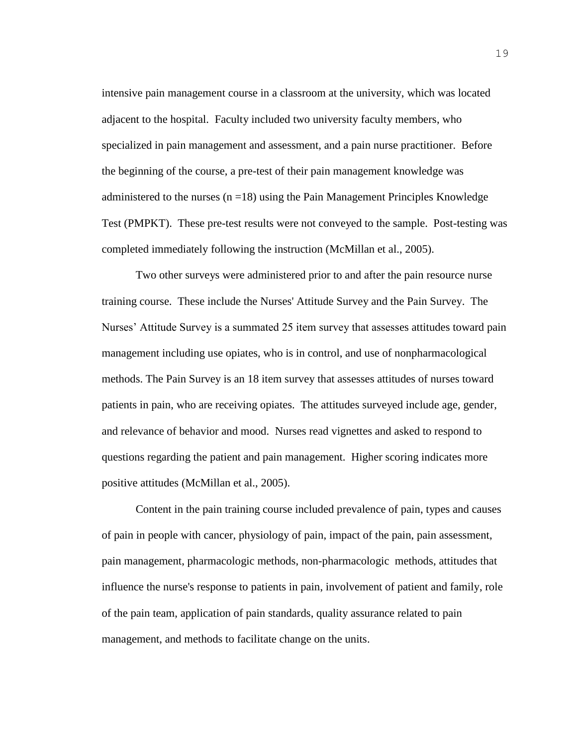intensive pain management course in a classroom at the university, which was located adjacent to the hospital. Faculty included two university faculty members, who specialized in pain management and assessment, and a pain nurse practitioner. Before the beginning of the course, a pre-test of their pain management knowledge was administered to the nurses  $(n = 18)$  using the Pain Management Principles Knowledge Test (PMPKT). These pre-test results were not conveyed to the sample. Post-testing was completed immediately following the instruction (McMillan et al., 2005).

Two other surveys were administered prior to and after the pain resource nurse training course. These include the Nurses' Attitude Survey and the Pain Survey. The Nurses' Attitude Survey is a summated 25 item survey that assesses attitudes toward pain management including use opiates, who is in control, and use of nonpharmacological methods. The Pain Survey is an 18 item survey that assesses attitudes of nurses toward patients in pain, who are receiving opiates. The attitudes surveyed include age, gender, and relevance of behavior and mood. Nurses read vignettes and asked to respond to questions regarding the patient and pain management. Higher scoring indicates more positive attitudes (McMillan et al., 2005).

Content in the pain training course included prevalence of pain, types and causes of pain in people with cancer, physiology of pain, impact of the pain, pain assessment, pain management, pharmacologic methods, non-pharmacologic methods, attitudes that influence the nurse's response to patients in pain, involvement of patient and family, role of the pain team, application of pain standards, quality assurance related to pain management, and methods to facilitate change on the units.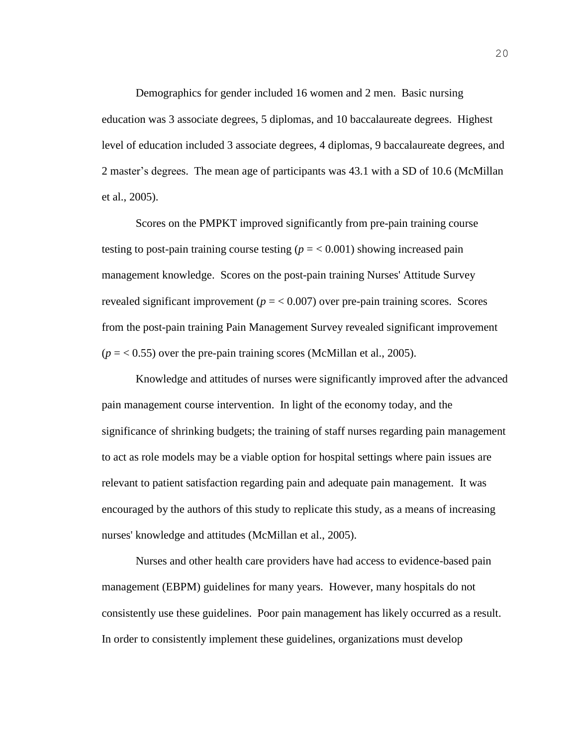Demographics for gender included 16 women and 2 men. Basic nursing education was 3 associate degrees, 5 diplomas, and 10 baccalaureate degrees. Highest level of education included 3 associate degrees, 4 diplomas, 9 baccalaureate degrees, and 2 master's degrees. The mean age of participants was 43.1 with a SD of 10.6 (McMillan et al., 2005).

Scores on the PMPKT improved significantly from pre-pain training course testing to post-pain training course testing  $(p = 0.001)$  showing increased pain management knowledge. Scores on the post-pain training Nurses' Attitude Survey revealed significant improvement ( $p = < 0.007$ ) over pre-pain training scores. Scores from the post-pain training Pain Management Survey revealed significant improvement  $(p = 0.55)$  over the pre-pain training scores (McMillan et al., 2005).

Knowledge and attitudes of nurses were significantly improved after the advanced pain management course intervention. In light of the economy today, and the significance of shrinking budgets; the training of staff nurses regarding pain management to act as role models may be a viable option for hospital settings where pain issues are relevant to patient satisfaction regarding pain and adequate pain management. It was encouraged by the authors of this study to replicate this study, as a means of increasing nurses' knowledge and attitudes (McMillan et al., 2005).

Nurses and other health care providers have had access to evidence-based pain management (EBPM) guidelines for many years. However, many hospitals do not consistently use these guidelines. Poor pain management has likely occurred as a result. In order to consistently implement these guidelines, organizations must develop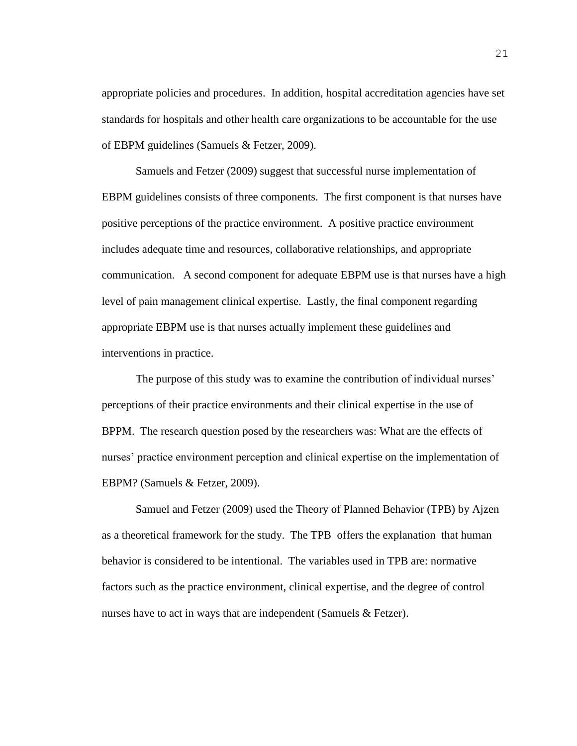appropriate policies and procedures. In addition, hospital accreditation agencies have set standards for hospitals and other health care organizations to be accountable for the use of EBPM guidelines (Samuels & Fetzer, 2009).

Samuels and Fetzer (2009) suggest that successful nurse implementation of EBPM guidelines consists of three components. The first component is that nurses have positive perceptions of the practice environment. A positive practice environment includes adequate time and resources, collaborative relationships, and appropriate communication. A second component for adequate EBPM use is that nurses have a high level of pain management clinical expertise. Lastly, the final component regarding appropriate EBPM use is that nurses actually implement these guidelines and interventions in practice.

The purpose of this study was to examine the contribution of individual nurses' perceptions of their practice environments and their clinical expertise in the use of BPPM. The research question posed by the researchers was: What are the effects of nurses' practice environment perception and clinical expertise on the implementation of EBPM? (Samuels & Fetzer, 2009).

Samuel and Fetzer (2009) used the Theory of Planned Behavior (TPB) by Ajzen as a theoretical framework for the study. The TPB offers the explanation that human behavior is considered to be intentional. The variables used in TPB are: normative factors such as the practice environment, clinical expertise, and the degree of control nurses have to act in ways that are independent (Samuels & Fetzer).

21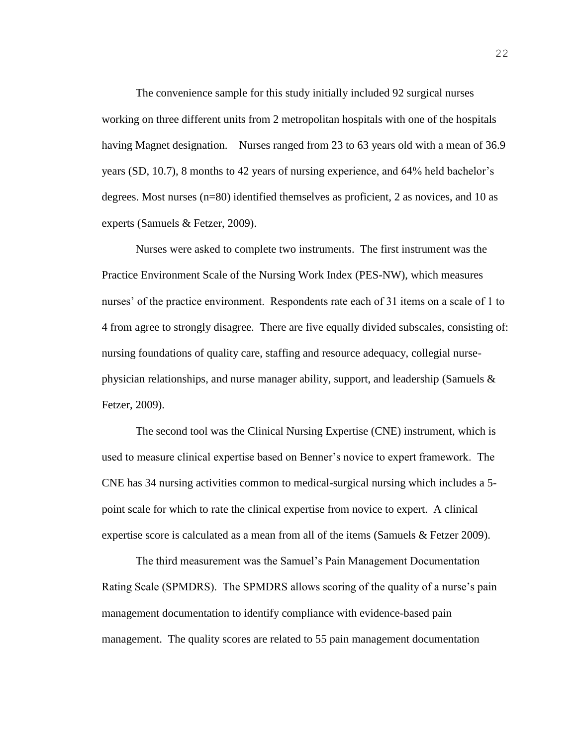The convenience sample for this study initially included 92 surgical nurses working on three different units from 2 metropolitan hospitals with one of the hospitals having Magnet designation. Nurses ranged from 23 to 63 years old with a mean of 36.9 years (SD, 10.7), 8 months to 42 years of nursing experience, and 64% held bachelor's degrees. Most nurses (n=80) identified themselves as proficient, 2 as novices, and 10 as experts (Samuels & Fetzer, 2009).

Nurses were asked to complete two instruments. The first instrument was the Practice Environment Scale of the Nursing Work Index (PES-NW), which measures nurses' of the practice environment. Respondents rate each of 31 items on a scale of 1 to 4 from agree to strongly disagree. There are five equally divided subscales, consisting of: nursing foundations of quality care, staffing and resource adequacy, collegial nursephysician relationships, and nurse manager ability, support, and leadership (Samuels & Fetzer, 2009).

The second tool was the Clinical Nursing Expertise (CNE) instrument, which is used to measure clinical expertise based on Benner's novice to expert framework. The CNE has 34 nursing activities common to medical-surgical nursing which includes a 5 point scale for which to rate the clinical expertise from novice to expert. A clinical expertise score is calculated as a mean from all of the items (Samuels & Fetzer 2009).

The third measurement was the Samuel's Pain Management Documentation Rating Scale (SPMDRS). The SPMDRS allows scoring of the quality of a nurse's pain management documentation to identify compliance with evidence-based pain management. The quality scores are related to 55 pain management documentation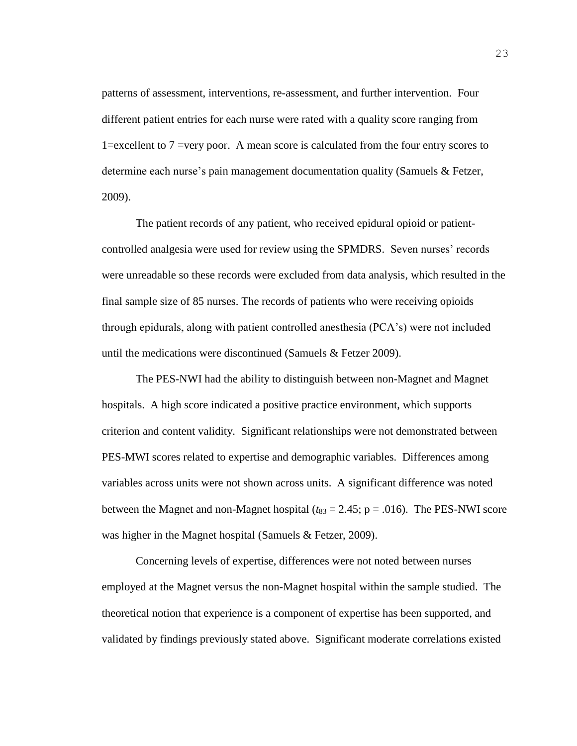patterns of assessment, interventions, re-assessment, and further intervention. Four different patient entries for each nurse were rated with a quality score ranging from 1=excellent to 7 =very poor. A mean score is calculated from the four entry scores to determine each nurse's pain management documentation quality (Samuels & Fetzer, 2009).

The patient records of any patient, who received epidural opioid or patientcontrolled analgesia were used for review using the SPMDRS. Seven nurses' records were unreadable so these records were excluded from data analysis, which resulted in the final sample size of 85 nurses. The records of patients who were receiving opioids through epidurals, along with patient controlled anesthesia (PCA's) were not included until the medications were discontinued (Samuels & Fetzer 2009).

The PES-NWI had the ability to distinguish between non-Magnet and Magnet hospitals. A high score indicated a positive practice environment, which supports criterion and content validity. Significant relationships were not demonstrated between PES-MWI scores related to expertise and demographic variables. Differences among variables across units were not shown across units. A significant difference was noted between the Magnet and non-Magnet hospital  $(t_{83} = 2.45; p = .016)$ . The PES-NWI score was higher in the Magnet hospital (Samuels & Fetzer, 2009).

Concerning levels of expertise, differences were not noted between nurses employed at the Magnet versus the non-Magnet hospital within the sample studied. The theoretical notion that experience is a component of expertise has been supported, and validated by findings previously stated above. Significant moderate correlations existed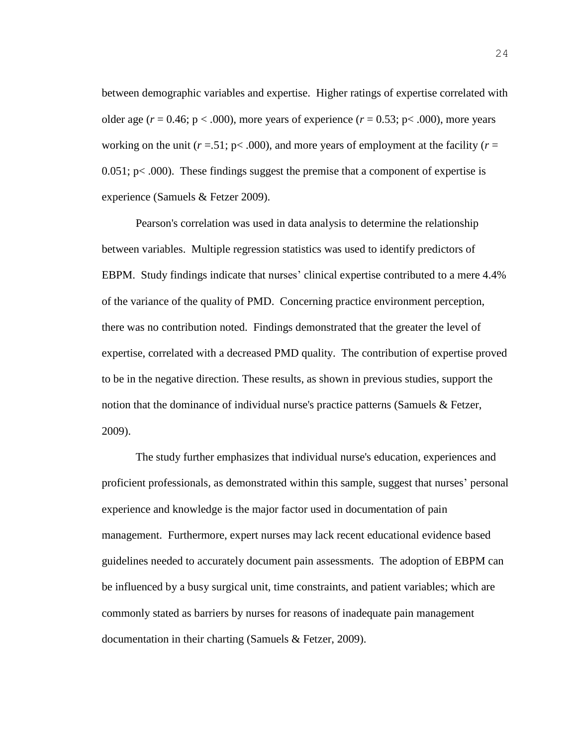between demographic variables and expertise. Higher ratings of expertise correlated with older age ( $r = 0.46$ ;  $p < .000$ ), more years of experience ( $r = 0.53$ ;  $p < .000$ ), more years working on the unit  $(r = .51; p < .000)$ , and more years of employment at the facility  $(r = .51; p < .000)$ , and more years of employment at the facility  $(r = .51; p < .000)$ .  $0.051$ ; p $< .000$ ). These findings suggest the premise that a component of expertise is experience (Samuels & Fetzer 2009).

Pearson's correlation was used in data analysis to determine the relationship between variables. Multiple regression statistics was used to identify predictors of EBPM. Study findings indicate that nurses' clinical expertise contributed to a mere 4.4% of the variance of the quality of PMD. Concerning practice environment perception, there was no contribution noted. Findings demonstrated that the greater the level of expertise, correlated with a decreased PMD quality. The contribution of expertise proved to be in the negative direction. These results, as shown in previous studies, support the notion that the dominance of individual nurse's practice patterns (Samuels & Fetzer, 2009).

The study further emphasizes that individual nurse's education, experiences and proficient professionals, as demonstrated within this sample, suggest that nurses' personal experience and knowledge is the major factor used in documentation of pain management. Furthermore, expert nurses may lack recent educational evidence based guidelines needed to accurately document pain assessments. The adoption of EBPM can be influenced by a busy surgical unit, time constraints, and patient variables; which are commonly stated as barriers by nurses for reasons of inadequate pain management documentation in their charting (Samuels & Fetzer, 2009).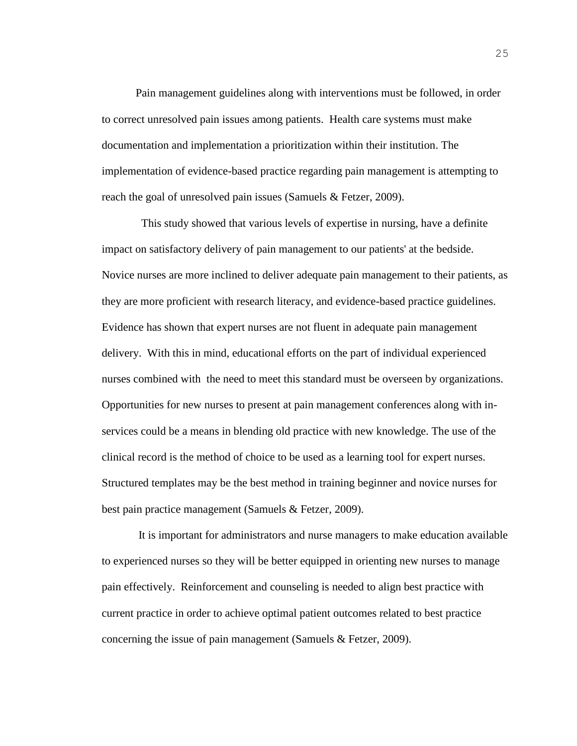Pain management guidelines along with interventions must be followed, in order to correct unresolved pain issues among patients. Health care systems must make documentation and implementation a prioritization within their institution. The implementation of evidence-based practice regarding pain management is attempting to reach the goal of unresolved pain issues (Samuels & Fetzer, 2009).

 This study showed that various levels of expertise in nursing, have a definite impact on satisfactory delivery of pain management to our patients' at the bedside. Novice nurses are more inclined to deliver adequate pain management to their patients, as they are more proficient with research literacy, and evidence-based practice guidelines. Evidence has shown that expert nurses are not fluent in adequate pain management delivery. With this in mind, educational efforts on the part of individual experienced nurses combined with the need to meet this standard must be overseen by organizations. Opportunities for new nurses to present at pain management conferences along with inservices could be a means in blending old practice with new knowledge. The use of the clinical record is the method of choice to be used as a learning tool for expert nurses. Structured templates may be the best method in training beginner and novice nurses for best pain practice management (Samuels & Fetzer, 2009).

It is important for administrators and nurse managers to make education available to experienced nurses so they will be better equipped in orienting new nurses to manage pain effectively. Reinforcement and counseling is needed to align best practice with current practice in order to achieve optimal patient outcomes related to best practice concerning the issue of pain management (Samuels & Fetzer, 2009).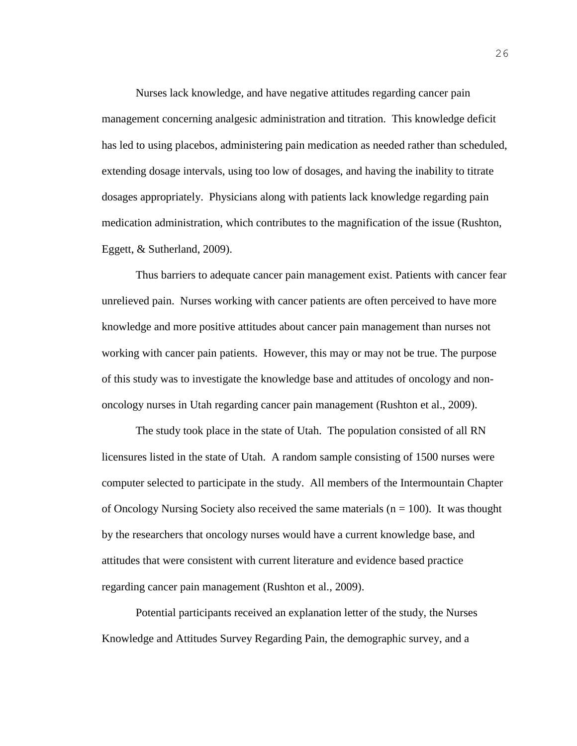Nurses lack knowledge, and have negative attitudes regarding cancer pain management concerning analgesic administration and titration. This knowledge deficit has led to using placebos, administering pain medication as needed rather than scheduled, extending dosage intervals, using too low of dosages, and having the inability to titrate dosages appropriately. Physicians along with patients lack knowledge regarding pain medication administration, which contributes to the magnification of the issue (Rushton, Eggett, & Sutherland, 2009).

Thus barriers to adequate cancer pain management exist. Patients with cancer fear unrelieved pain. Nurses working with cancer patients are often perceived to have more knowledge and more positive attitudes about cancer pain management than nurses not working with cancer pain patients. However, this may or may not be true. The purpose of this study was to investigate the knowledge base and attitudes of oncology and nononcology nurses in Utah regarding cancer pain management (Rushton et al., 2009).

The study took place in the state of Utah. The population consisted of all RN licensures listed in the state of Utah. A random sample consisting of 1500 nurses were computer selected to participate in the study. All members of the Intermountain Chapter of Oncology Nursing Society also received the same materials ( $n = 100$ ). It was thought by the researchers that oncology nurses would have a current knowledge base, and attitudes that were consistent with current literature and evidence based practice regarding cancer pain management (Rushton et al., 2009).

Potential participants received an explanation letter of the study, the Nurses Knowledge and Attitudes Survey Regarding Pain, the demographic survey, and a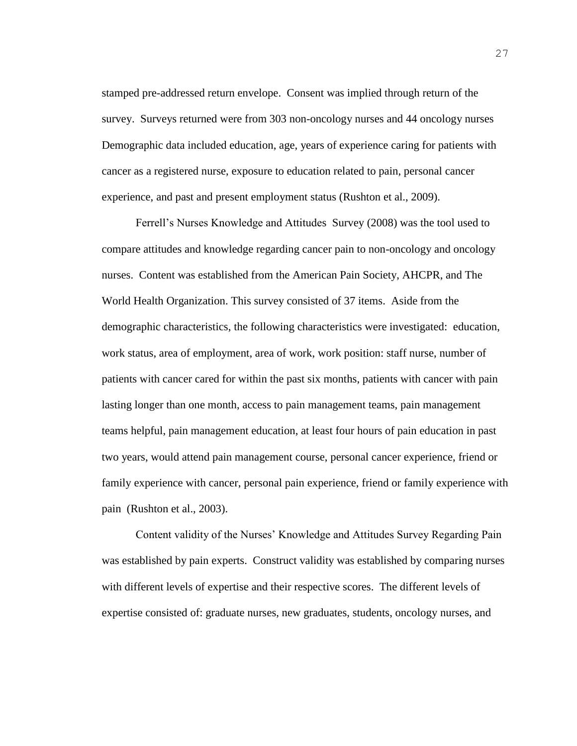stamped pre-addressed return envelope. Consent was implied through return of the survey. Surveys returned were from 303 non-oncology nurses and 44 oncology nurses Demographic data included education, age, years of experience caring for patients with cancer as a registered nurse, exposure to education related to pain, personal cancer experience, and past and present employment status (Rushton et al., 2009).

Ferrell's Nurses Knowledge and Attitudes Survey (2008) was the tool used to compare attitudes and knowledge regarding cancer pain to non-oncology and oncology nurses. Content was established from the American Pain Society, AHCPR, and The World Health Organization. This survey consisted of 37 items. Aside from the demographic characteristics, the following characteristics were investigated: education, work status, area of employment, area of work, work position: staff nurse, number of patients with cancer cared for within the past six months, patients with cancer with pain lasting longer than one month, access to pain management teams, pain management teams helpful, pain management education, at least four hours of pain education in past two years, would attend pain management course, personal cancer experience, friend or family experience with cancer, personal pain experience, friend or family experience with pain (Rushton et al., 2003).

Content validity of the Nurses' Knowledge and Attitudes Survey Regarding Pain was established by pain experts. Construct validity was established by comparing nurses with different levels of expertise and their respective scores. The different levels of expertise consisted of: graduate nurses, new graduates, students, oncology nurses, and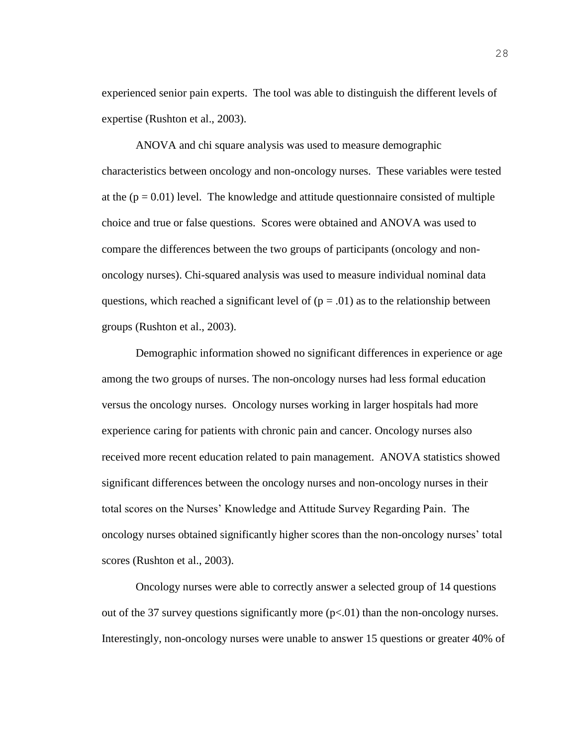experienced senior pain experts. The tool was able to distinguish the different levels of expertise (Rushton et al., 2003).

ANOVA and chi square analysis was used to measure demographic characteristics between oncology and non-oncology nurses. These variables were tested at the  $(p = 0.01)$  level. The knowledge and attitude questionnaire consisted of multiple choice and true or false questions. Scores were obtained and ANOVA was used to compare the differences between the two groups of participants (oncology and nononcology nurses). Chi-squared analysis was used to measure individual nominal data questions, which reached a significant level of  $(p = .01)$  as to the relationship between groups (Rushton et al., 2003).

Demographic information showed no significant differences in experience or age among the two groups of nurses. The non-oncology nurses had less formal education versus the oncology nurses. Oncology nurses working in larger hospitals had more experience caring for patients with chronic pain and cancer. Oncology nurses also received more recent education related to pain management. ANOVA statistics showed significant differences between the oncology nurses and non-oncology nurses in their total scores on the Nurses' Knowledge and Attitude Survey Regarding Pain. The oncology nurses obtained significantly higher scores than the non-oncology nurses' total scores (Rushton et al., 2003).

 Oncology nurses were able to correctly answer a selected group of 14 questions out of the 37 survey questions significantly more  $(p<0.01)$  than the non-oncology nurses. Interestingly, non-oncology nurses were unable to answer 15 questions or greater 40% of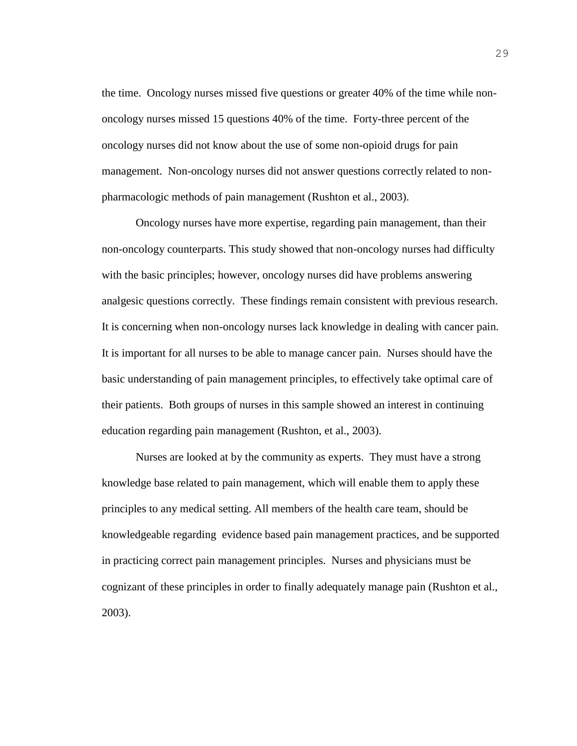the time. Oncology nurses missed five questions or greater 40% of the time while nononcology nurses missed 15 questions 40% of the time. Forty-three percent of the oncology nurses did not know about the use of some non-opioid drugs for pain management. Non-oncology nurses did not answer questions correctly related to nonpharmacologic methods of pain management (Rushton et al., 2003).

 Oncology nurses have more expertise, regarding pain management, than their non-oncology counterparts. This study showed that non-oncology nurses had difficulty with the basic principles; however, oncology nurses did have problems answering analgesic questions correctly. These findings remain consistent with previous research. It is concerning when non-oncology nurses lack knowledge in dealing with cancer pain. It is important for all nurses to be able to manage cancer pain. Nurses should have the basic understanding of pain management principles, to effectively take optimal care of their patients. Both groups of nurses in this sample showed an interest in continuing education regarding pain management (Rushton, et al., 2003).

Nurses are looked at by the community as experts. They must have a strong knowledge base related to pain management, which will enable them to apply these principles to any medical setting. All members of the health care team, should be knowledgeable regarding evidence based pain management practices, and be supported in practicing correct pain management principles. Nurses and physicians must be cognizant of these principles in order to finally adequately manage pain (Rushton et al., 2003).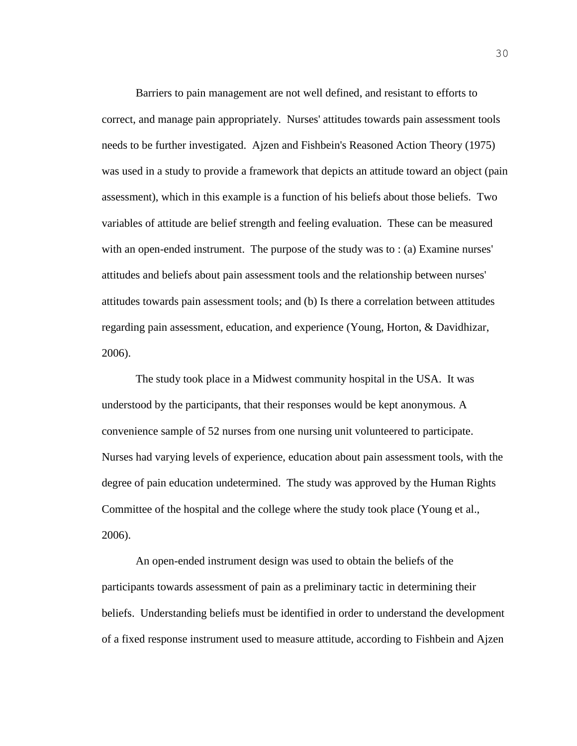Barriers to pain management are not well defined, and resistant to efforts to correct, and manage pain appropriately. Nurses' attitudes towards pain assessment tools needs to be further investigated. Ajzen and Fishbein's Reasoned Action Theory (1975) was used in a study to provide a framework that depicts an attitude toward an object (pain assessment), which in this example is a function of his beliefs about those beliefs. Two variables of attitude are belief strength and feeling evaluation. These can be measured with an open-ended instrument. The purpose of the study was to : (a) Examine nurses' attitudes and beliefs about pain assessment tools and the relationship between nurses' attitudes towards pain assessment tools; and (b) Is there a correlation between attitudes regarding pain assessment, education, and experience (Young, Horton, & Davidhizar, 2006).

The study took place in a Midwest community hospital in the USA. It was understood by the participants, that their responses would be kept anonymous. A convenience sample of 52 nurses from one nursing unit volunteered to participate. Nurses had varying levels of experience, education about pain assessment tools, with the degree of pain education undetermined. The study was approved by the Human Rights Committee of the hospital and the college where the study took place (Young et al., 2006).

An open-ended instrument design was used to obtain the beliefs of the participants towards assessment of pain as a preliminary tactic in determining their beliefs. Understanding beliefs must be identified in order to understand the development of a fixed response instrument used to measure attitude, according to Fishbein and Ajzen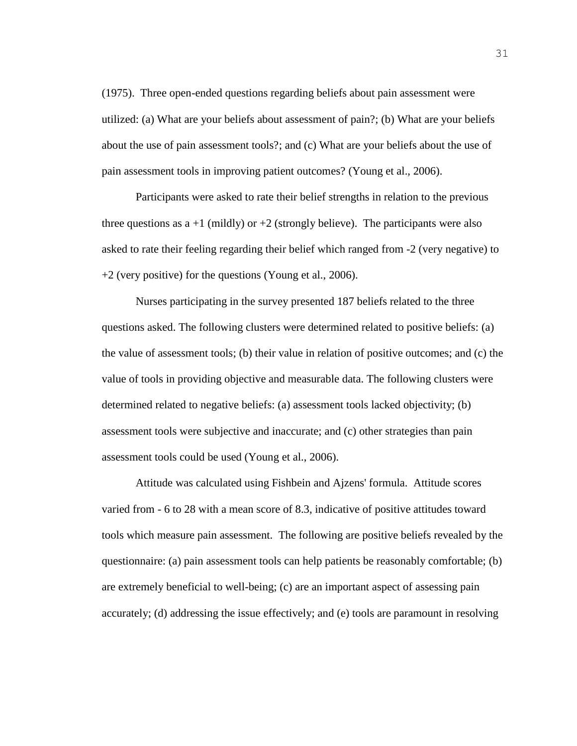(1975). Three open-ended questions regarding beliefs about pain assessment were utilized: (a) What are your beliefs about assessment of pain?; (b) What are your beliefs about the use of pain assessment tools?; and (c) What are your beliefs about the use of pain assessment tools in improving patient outcomes? (Young et al., 2006).

Participants were asked to rate their belief strengths in relation to the previous three questions as  $a +1$  (mildly) or  $+2$  (strongly believe). The participants were also asked to rate their feeling regarding their belief which ranged from -2 (very negative) to +2 (very positive) for the questions (Young et al., 2006).

Nurses participating in the survey presented 187 beliefs related to the three questions asked. The following clusters were determined related to positive beliefs: (a) the value of assessment tools; (b) their value in relation of positive outcomes; and (c) the value of tools in providing objective and measurable data. The following clusters were determined related to negative beliefs: (a) assessment tools lacked objectivity; (b) assessment tools were subjective and inaccurate; and (c) other strategies than pain assessment tools could be used (Young et al., 2006).

Attitude was calculated using Fishbein and Ajzens' formula. Attitude scores varied from - 6 to 28 with a mean score of 8.3, indicative of positive attitudes toward tools which measure pain assessment. The following are positive beliefs revealed by the questionnaire: (a) pain assessment tools can help patients be reasonably comfortable; (b) are extremely beneficial to well-being; (c) are an important aspect of assessing pain accurately; (d) addressing the issue effectively; and (e) tools are paramount in resolving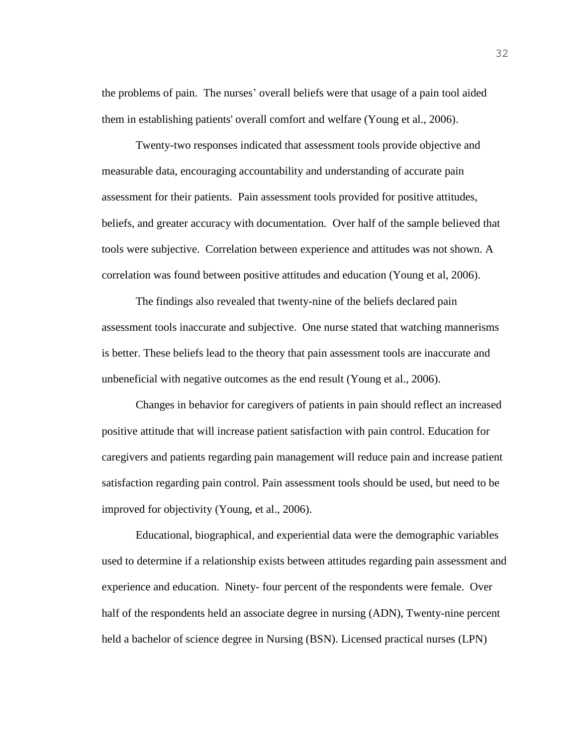the problems of pain. The nurses' overall beliefs were that usage of a pain tool aided them in establishing patients' overall comfort and welfare (Young et al., 2006).

Twenty-two responses indicated that assessment tools provide objective and measurable data, encouraging accountability and understanding of accurate pain assessment for their patients. Pain assessment tools provided for positive attitudes, beliefs, and greater accuracy with documentation. Over half of the sample believed that tools were subjective. Correlation between experience and attitudes was not shown. A correlation was found between positive attitudes and education (Young et al, 2006).

The findings also revealed that twenty-nine of the beliefs declared pain assessment tools inaccurate and subjective. One nurse stated that watching mannerisms is better. These beliefs lead to the theory that pain assessment tools are inaccurate and unbeneficial with negative outcomes as the end result (Young et al., 2006).

Changes in behavior for caregivers of patients in pain should reflect an increased positive attitude that will increase patient satisfaction with pain control. Education for caregivers and patients regarding pain management will reduce pain and increase patient satisfaction regarding pain control. Pain assessment tools should be used, but need to be improved for objectivity (Young, et al., 2006).

Educational, biographical, and experiential data were the demographic variables used to determine if a relationship exists between attitudes regarding pain assessment and experience and education. Ninety- four percent of the respondents were female. Over half of the respondents held an associate degree in nursing (ADN), Twenty-nine percent held a bachelor of science degree in Nursing (BSN). Licensed practical nurses (LPN)

32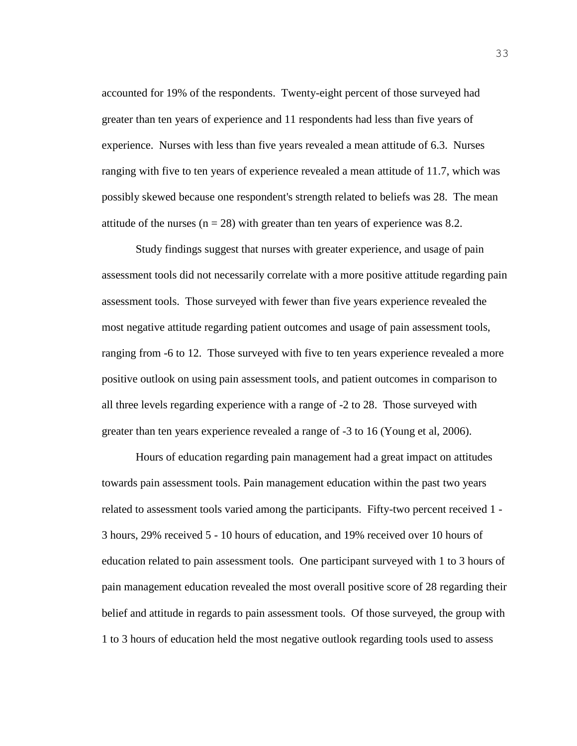accounted for 19% of the respondents. Twenty-eight percent of those surveyed had greater than ten years of experience and 11 respondents had less than five years of experience. Nurses with less than five years revealed a mean attitude of 6.3. Nurses ranging with five to ten years of experience revealed a mean attitude of 11.7, which was possibly skewed because one respondent's strength related to beliefs was 28. The mean attitude of the nurses ( $n = 28$ ) with greater than ten years of experience was 8.2.

Study findings suggest that nurses with greater experience, and usage of pain assessment tools did not necessarily correlate with a more positive attitude regarding pain assessment tools. Those surveyed with fewer than five years experience revealed the most negative attitude regarding patient outcomes and usage of pain assessment tools, ranging from -6 to 12. Those surveyed with five to ten years experience revealed a more positive outlook on using pain assessment tools, and patient outcomes in comparison to all three levels regarding experience with a range of -2 to 28. Those surveyed with greater than ten years experience revealed a range of -3 to 16 (Young et al, 2006).

Hours of education regarding pain management had a great impact on attitudes towards pain assessment tools. Pain management education within the past two years related to assessment tools varied among the participants. Fifty-two percent received 1 - 3 hours, 29% received 5 - 10 hours of education, and 19% received over 10 hours of education related to pain assessment tools. One participant surveyed with 1 to 3 hours of pain management education revealed the most overall positive score of 28 regarding their belief and attitude in regards to pain assessment tools. Of those surveyed, the group with 1 to 3 hours of education held the most negative outlook regarding tools used to assess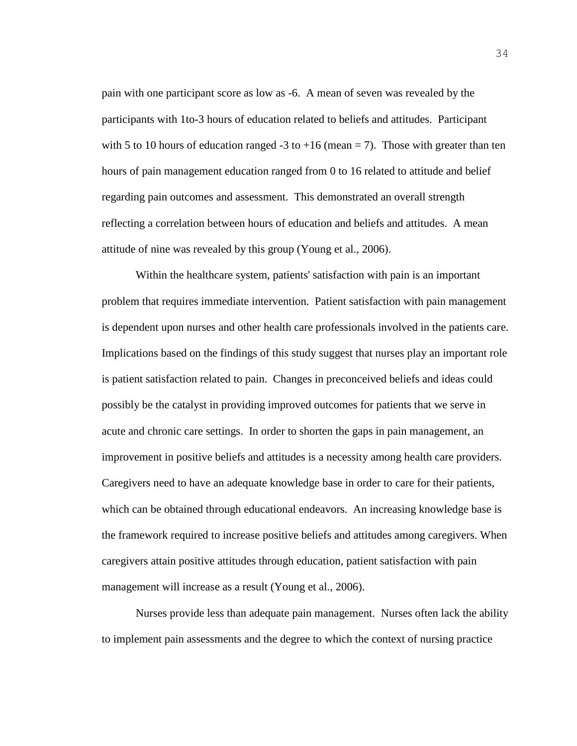pain with one participant score as low as -6. A mean of seven was revealed by the participants with 1to-3 hours of education related to beliefs and attitudes. Participant with 5 to 10 hours of education ranged -3 to +16 (mean = 7). Those with greater than ten hours of pain management education ranged from 0 to 16 related to attitude and belief regarding pain outcomes and assessment. This demonstrated an overall strength reflecting a correlation between hours of education and beliefs and attitudes. A mean attitude of nine was revealed by this group (Young et al., 2006).

Within the healthcare system, patients' satisfaction with pain is an important problem that requires immediate intervention. Patient satisfaction with pain management is dependent upon nurses and other health care professionals involved in the patients care. Implications based on the findings of this study suggest that nurses play an important role is patient satisfaction related to pain. Changes in preconceived beliefs and ideas could possibly be the catalyst in providing improved outcomes for patients that we serve in acute and chronic care settings. In order to shorten the gaps in pain management, an improvement in positive beliefs and attitudes is a necessity among health care providers. Caregivers need to have an adequate knowledge base in order to care for their patients, which can be obtained through educational endeavors. An increasing knowledge base is the framework required to increase positive beliefs and attitudes among caregivers. When caregivers attain positive attitudes through education, patient satisfaction with pain management will increase as a result (Young et al., 2006).

Nurses provide less than adequate pain management. Nurses often lack the ability to implement pain assessments and the degree to which the context of nursing practice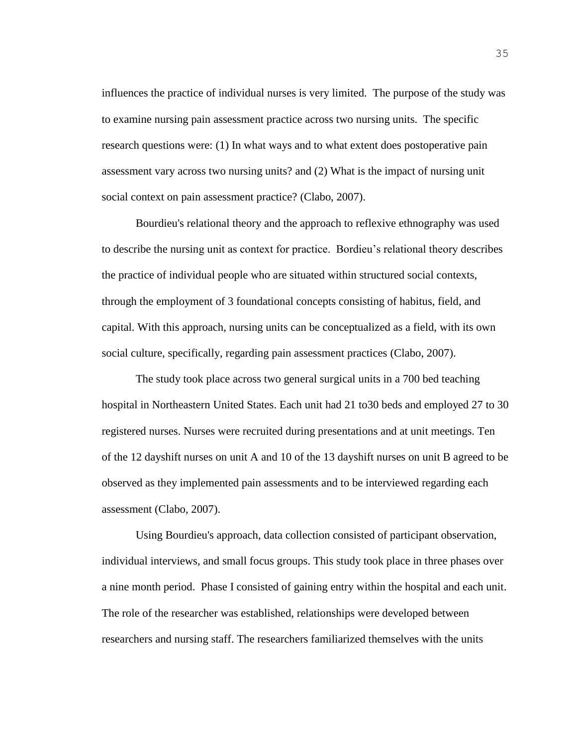influences the practice of individual nurses is very limited. The purpose of the study was to examine nursing pain assessment practice across two nursing units. The specific research questions were: (1) In what ways and to what extent does postoperative pain assessment vary across two nursing units? and (2) What is the impact of nursing unit social context on pain assessment practice? (Clabo, 2007).

Bourdieu's relational theory and the approach to reflexive ethnography was used to describe the nursing unit as context for practice. Bordieu's relational theory describes the practice of individual people who are situated within structured social contexts, through the employment of 3 foundational concepts consisting of habitus, field, and capital. With this approach, nursing units can be conceptualized as a field, with its own social culture, specifically, regarding pain assessment practices (Clabo, 2007).

The study took place across two general surgical units in a 700 bed teaching hospital in Northeastern United States. Each unit had 21 to30 beds and employed 27 to 30 registered nurses. Nurses were recruited during presentations and at unit meetings. Ten of the 12 dayshift nurses on unit A and 10 of the 13 dayshift nurses on unit B agreed to be observed as they implemented pain assessments and to be interviewed regarding each assessment (Clabo, 2007).

Using Bourdieu's approach, data collection consisted of participant observation, individual interviews, and small focus groups. This study took place in three phases over a nine month period. Phase I consisted of gaining entry within the hospital and each unit. The role of the researcher was established, relationships were developed between researchers and nursing staff. The researchers familiarized themselves with the units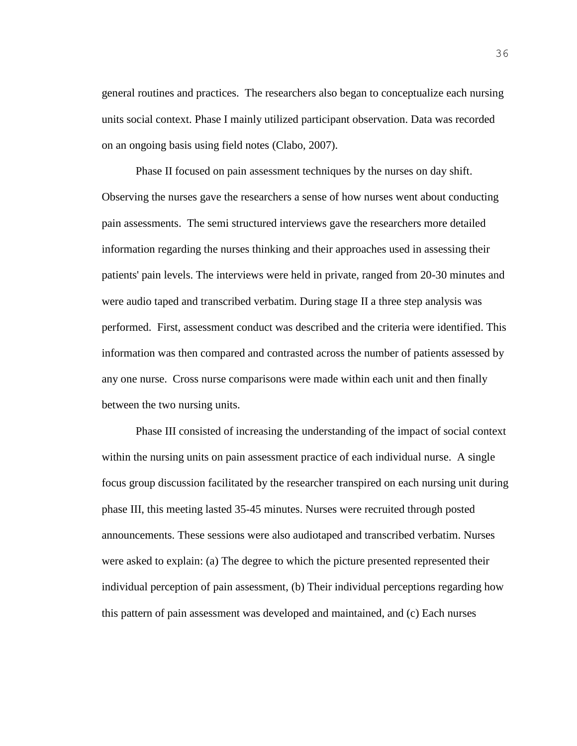general routines and practices. The researchers also began to conceptualize each nursing units social context. Phase I mainly utilized participant observation. Data was recorded on an ongoing basis using field notes (Clabo, 2007).

Phase II focused on pain assessment techniques by the nurses on day shift. Observing the nurses gave the researchers a sense of how nurses went about conducting pain assessments. The semi structured interviews gave the researchers more detailed information regarding the nurses thinking and their approaches used in assessing their patients' pain levels. The interviews were held in private, ranged from 20-30 minutes and were audio taped and transcribed verbatim. During stage II a three step analysis was performed. First, assessment conduct was described and the criteria were identified. This information was then compared and contrasted across the number of patients assessed by any one nurse. Cross nurse comparisons were made within each unit and then finally between the two nursing units.

Phase III consisted of increasing the understanding of the impact of social context within the nursing units on pain assessment practice of each individual nurse. A single focus group discussion facilitated by the researcher transpired on each nursing unit during phase III, this meeting lasted 35-45 minutes. Nurses were recruited through posted announcements. These sessions were also audiotaped and transcribed verbatim. Nurses were asked to explain: (a) The degree to which the picture presented represented their individual perception of pain assessment, (b) Their individual perceptions regarding how this pattern of pain assessment was developed and maintained, and (c) Each nurses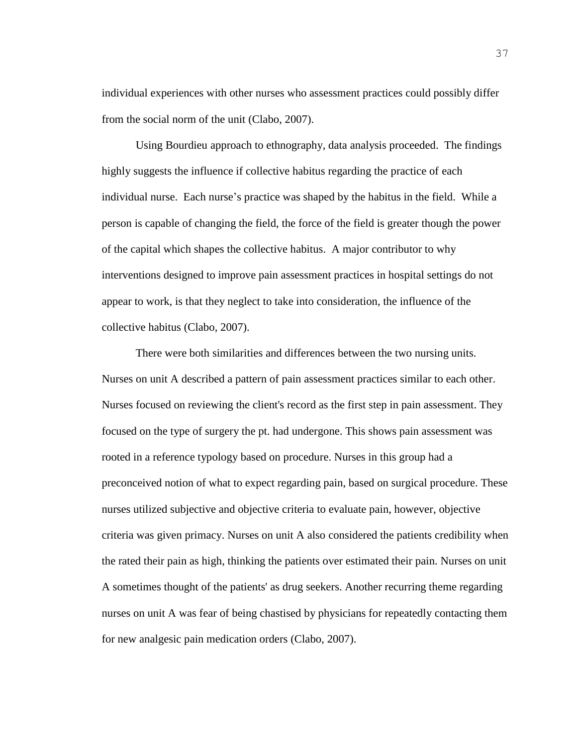individual experiences with other nurses who assessment practices could possibly differ from the social norm of the unit (Clabo, 2007).

Using Bourdieu approach to ethnography, data analysis proceeded. The findings highly suggests the influence if collective habitus regarding the practice of each individual nurse. Each nurse's practice was shaped by the habitus in the field. While a person is capable of changing the field, the force of the field is greater though the power of the capital which shapes the collective habitus. A major contributor to why interventions designed to improve pain assessment practices in hospital settings do not appear to work, is that they neglect to take into consideration, the influence of the collective habitus (Clabo, 2007).

There were both similarities and differences between the two nursing units. Nurses on unit A described a pattern of pain assessment practices similar to each other. Nurses focused on reviewing the client's record as the first step in pain assessment. They focused on the type of surgery the pt. had undergone. This shows pain assessment was rooted in a reference typology based on procedure. Nurses in this group had a preconceived notion of what to expect regarding pain, based on surgical procedure. These nurses utilized subjective and objective criteria to evaluate pain, however, objective criteria was given primacy. Nurses on unit A also considered the patients credibility when the rated their pain as high, thinking the patients over estimated their pain. Nurses on unit A sometimes thought of the patients' as drug seekers. Another recurring theme regarding nurses on unit A was fear of being chastised by physicians for repeatedly contacting them for new analgesic pain medication orders (Clabo, 2007).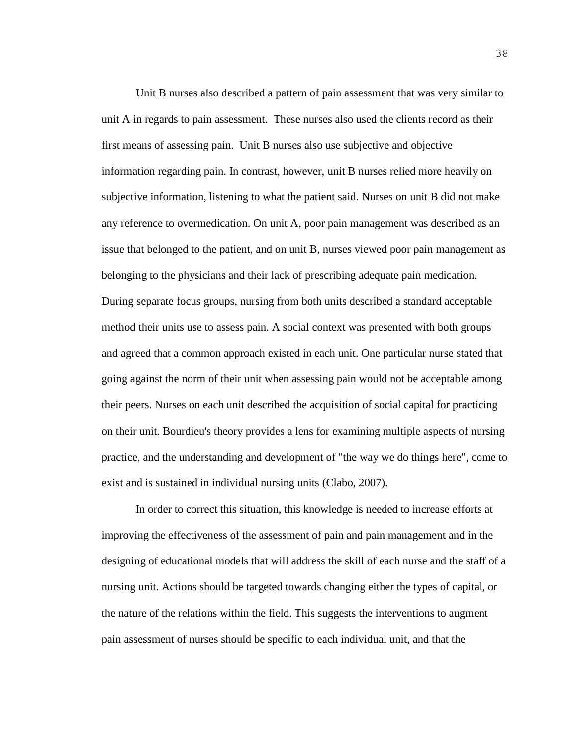Unit B nurses also described a pattern of pain assessment that was very similar to unit A in regards to pain assessment. These nurses also used the clients record as their first means of assessing pain. Unit B nurses also use subjective and objective information regarding pain. In contrast, however, unit B nurses relied more heavily on subjective information, listening to what the patient said. Nurses on unit B did not make any reference to overmedication. On unit A, poor pain management was described as an issue that belonged to the patient, and on unit B, nurses viewed poor pain management as belonging to the physicians and their lack of prescribing adequate pain medication. During separate focus groups, nursing from both units described a standard acceptable method their units use to assess pain. A social context was presented with both groups and agreed that a common approach existed in each unit. One particular nurse stated that going against the norm of their unit when assessing pain would not be acceptable among their peers. Nurses on each unit described the acquisition of social capital for practicing on their unit. Bourdieu's theory provides a lens for examining multiple aspects of nursing practice, and the understanding and development of "the way we do things here", come to exist and is sustained in individual nursing units (Clabo, 2007).

In order to correct this situation, this knowledge is needed to increase efforts at improving the effectiveness of the assessment of pain and pain management and in the designing of educational models that will address the skill of each nurse and the staff of a nursing unit. Actions should be targeted towards changing either the types of capital, or the nature of the relations within the field. This suggests the interventions to augment pain assessment of nurses should be specific to each individual unit, and that the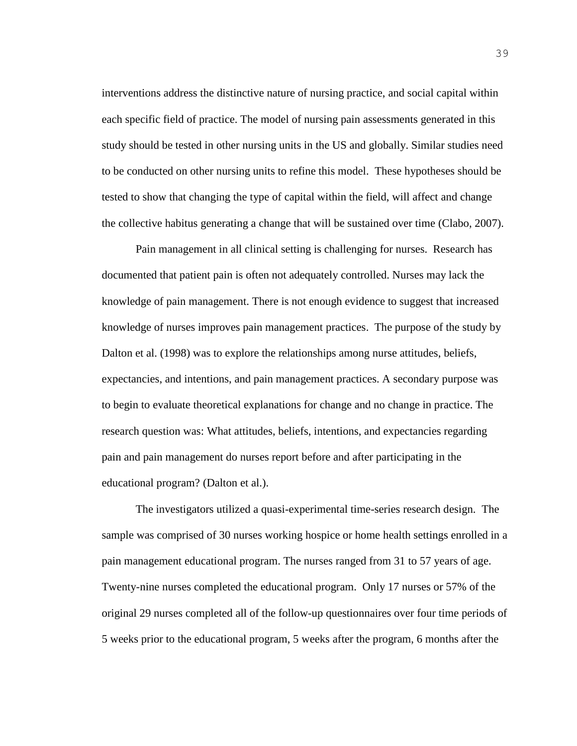interventions address the distinctive nature of nursing practice, and social capital within each specific field of practice. The model of nursing pain assessments generated in this study should be tested in other nursing units in the US and globally. Similar studies need to be conducted on other nursing units to refine this model. These hypotheses should be tested to show that changing the type of capital within the field, will affect and change the collective habitus generating a change that will be sustained over time (Clabo, 2007).

Pain management in all clinical setting is challenging for nurses. Research has documented that patient pain is often not adequately controlled. Nurses may lack the knowledge of pain management. There is not enough evidence to suggest that increased knowledge of nurses improves pain management practices. The purpose of the study by Dalton et al. (1998) was to explore the relationships among nurse attitudes, beliefs, expectancies, and intentions, and pain management practices. A secondary purpose was to begin to evaluate theoretical explanations for change and no change in practice. The research question was: What attitudes, beliefs, intentions, and expectancies regarding pain and pain management do nurses report before and after participating in the educational program? (Dalton et al.).

The investigators utilized a quasi-experimental time-series research design. The sample was comprised of 30 nurses working hospice or home health settings enrolled in a pain management educational program. The nurses ranged from 31 to 57 years of age. Twenty-nine nurses completed the educational program. Only 17 nurses or 57% of the original 29 nurses completed all of the follow-up questionnaires over four time periods of 5 weeks prior to the educational program, 5 weeks after the program, 6 months after the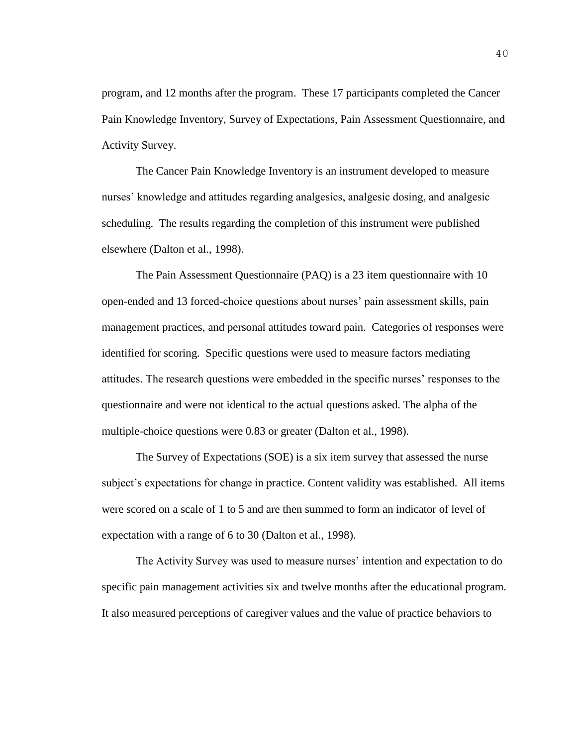program, and 12 months after the program. These 17 participants completed the Cancer Pain Knowledge Inventory, Survey of Expectations, Pain Assessment Questionnaire, and Activity Survey.

The Cancer Pain Knowledge Inventory is an instrument developed to measure nurses' knowledge and attitudes regarding analgesics, analgesic dosing, and analgesic scheduling. The results regarding the completion of this instrument were published elsewhere (Dalton et al., 1998).

The Pain Assessment Questionnaire (PAQ) is a 23 item questionnaire with 10 open-ended and 13 forced-choice questions about nurses' pain assessment skills, pain management practices, and personal attitudes toward pain. Categories of responses were identified for scoring. Specific questions were used to measure factors mediating attitudes. The research questions were embedded in the specific nurses' responses to the questionnaire and were not identical to the actual questions asked. The alpha of the multiple-choice questions were 0.83 or greater (Dalton et al., 1998).

The Survey of Expectations (SOE) is a six item survey that assessed the nurse subject's expectations for change in practice. Content validity was established. All items were scored on a scale of 1 to 5 and are then summed to form an indicator of level of expectation with a range of 6 to 30 (Dalton et al., 1998).

The Activity Survey was used to measure nurses' intention and expectation to do specific pain management activities six and twelve months after the educational program. It also measured perceptions of caregiver values and the value of practice behaviors to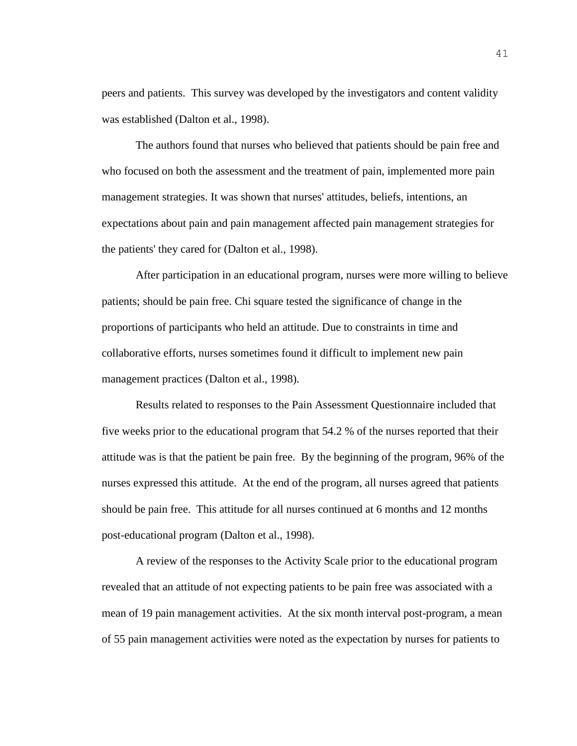peers and patients. This survey was developed by the investigators and content validity was established (Dalton et al., 1998).

The authors found that nurses who believed that patients should be pain free and who focused on both the assessment and the treatment of pain, implemented more pain management strategies. It was shown that nurses' attitudes, beliefs, intentions, an expectations about pain and pain management affected pain management strategies for the patients' they cared for (Dalton et al., 1998).

After participation in an educational program, nurses were more willing to believe patients; should be pain free. Chi square tested the significance of change in the proportions of participants who held an attitude. Due to constraints in time and collaborative efforts, nurses sometimes found it difficult to implement new pain management practices (Dalton et al., 1998).

Results related to responses to the Pain Assessment Questionnaire included that five weeks prior to the educational program that 54.2 % of the nurses reported that their attitude was is that the patient be pain free. By the beginning of the program, 96% of the nurses expressed this attitude. At the end of the program, all nurses agreed that patients should be pain free. This attitude for all nurses continued at 6 months and 12 months post-educational program (Dalton et al., 1998).

A review of the responses to the Activity Scale prior to the educational program revealed that an attitude of not expecting patients to be pain free was associated with a mean of 19 pain management activities. At the six month interval post-program, a mean of 55 pain management activities were noted as the expectation by nurses for patients to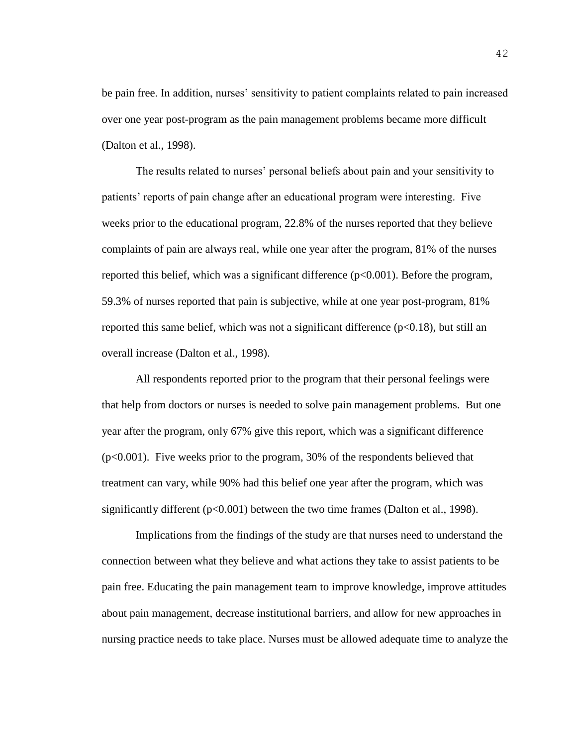be pain free. In addition, nurses' sensitivity to patient complaints related to pain increased over one year post-program as the pain management problems became more difficult (Dalton et al., 1998).

The results related to nurses' personal beliefs about pain and your sensitivity to patients' reports of pain change after an educational program were interesting. Five weeks prior to the educational program, 22.8% of the nurses reported that they believe complaints of pain are always real, while one year after the program, 81% of the nurses reported this belief, which was a significant difference  $(p<0.001)$ . Before the program, 59.3% of nurses reported that pain is subjective, while at one year post-program, 81% reported this same belief, which was not a significant difference  $(p<0.18)$ , but still an overall increase (Dalton et al., 1998).

All respondents reported prior to the program that their personal feelings were that help from doctors or nurses is needed to solve pain management problems. But one year after the program, only 67% give this report, which was a significant difference  $(p<0.001)$ . Five weeks prior to the program, 30% of the respondents believed that treatment can vary, while 90% had this belief one year after the program, which was significantly different  $(p<0.001)$  between the two time frames (Dalton et al., 1998).

Implications from the findings of the study are that nurses need to understand the connection between what they believe and what actions they take to assist patients to be pain free. Educating the pain management team to improve knowledge, improve attitudes about pain management, decrease institutional barriers, and allow for new approaches in nursing practice needs to take place. Nurses must be allowed adequate time to analyze the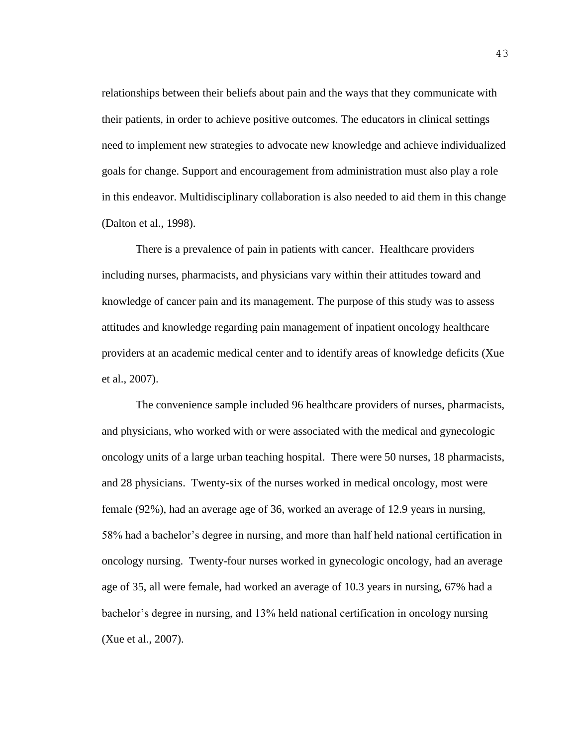relationships between their beliefs about pain and the ways that they communicate with their patients, in order to achieve positive outcomes. The educators in clinical settings need to implement new strategies to advocate new knowledge and achieve individualized goals for change. Support and encouragement from administration must also play a role in this endeavor. Multidisciplinary collaboration is also needed to aid them in this change (Dalton et al., 1998).

There is a prevalence of pain in patients with cancer. Healthcare providers including nurses, pharmacists, and physicians vary within their attitudes toward and knowledge of cancer pain and its management. The purpose of this study was to assess attitudes and knowledge regarding pain management of inpatient oncology healthcare providers at an academic medical center and to identify areas of knowledge deficits (Xue et al., 2007).

The convenience sample included 96 healthcare providers of nurses, pharmacists, and physicians, who worked with or were associated with the medical and gynecologic oncology units of a large urban teaching hospital. There were 50 nurses, 18 pharmacists, and 28 physicians. Twenty-six of the nurses worked in medical oncology, most were female (92%), had an average age of 36, worked an average of 12.9 years in nursing, 58% had a bachelor's degree in nursing, and more than half held national certification in oncology nursing. Twenty-four nurses worked in gynecologic oncology, had an average age of 35, all were female, had worked an average of 10.3 years in nursing, 67% had a bachelor's degree in nursing, and 13% held national certification in oncology nursing (Xue et al., 2007).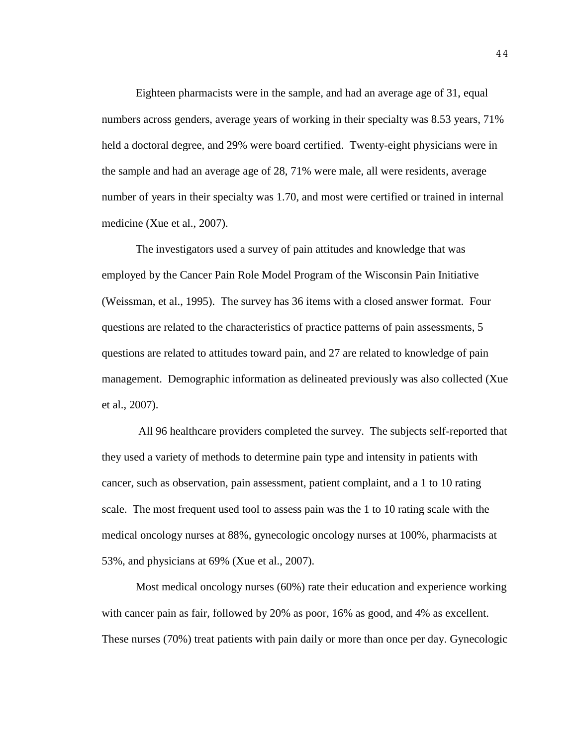Eighteen pharmacists were in the sample, and had an average age of 31, equal numbers across genders, average years of working in their specialty was 8.53 years, 71% held a doctoral degree, and 29% were board certified. Twenty-eight physicians were in the sample and had an average age of 28, 71% were male, all were residents, average number of years in their specialty was 1.70, and most were certified or trained in internal medicine (Xue et al., 2007).

The investigators used a survey of pain attitudes and knowledge that was employed by the Cancer Pain Role Model Program of the Wisconsin Pain Initiative (Weissman, et al., 1995). The survey has 36 items with a closed answer format. Four questions are related to the characteristics of practice patterns of pain assessments, 5 questions are related to attitudes toward pain, and 27 are related to knowledge of pain management. Demographic information as delineated previously was also collected (Xue et al., 2007).

All 96 healthcare providers completed the survey. The subjects self-reported that they used a variety of methods to determine pain type and intensity in patients with cancer, such as observation, pain assessment, patient complaint, and a 1 to 10 rating scale. The most frequent used tool to assess pain was the 1 to 10 rating scale with the medical oncology nurses at 88%, gynecologic oncology nurses at 100%, pharmacists at 53%, and physicians at 69% (Xue et al., 2007).

Most medical oncology nurses (60%) rate their education and experience working with cancer pain as fair, followed by 20% as poor, 16% as good, and 4% as excellent. These nurses (70%) treat patients with pain daily or more than once per day. Gynecologic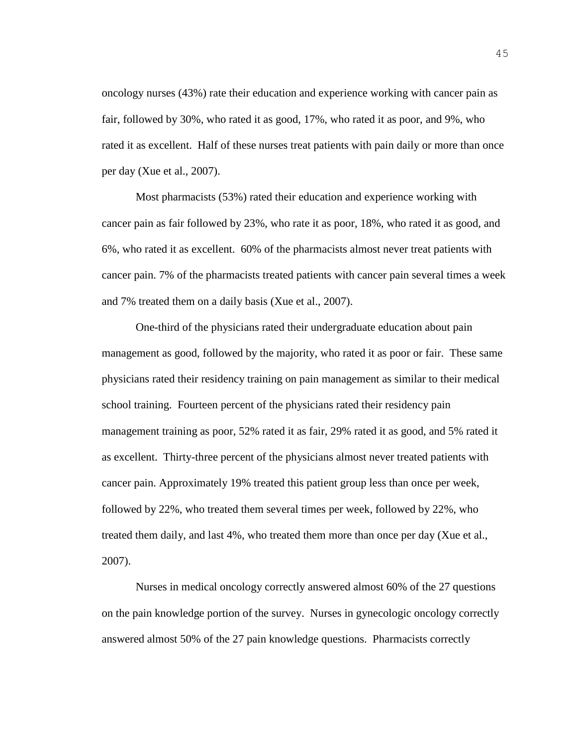oncology nurses (43%) rate their education and experience working with cancer pain as fair, followed by 30%, who rated it as good, 17%, who rated it as poor, and 9%, who rated it as excellent. Half of these nurses treat patients with pain daily or more than once per day (Xue et al., 2007).

Most pharmacists (53%) rated their education and experience working with cancer pain as fair followed by 23%, who rate it as poor, 18%, who rated it as good, and 6%, who rated it as excellent. 60% of the pharmacists almost never treat patients with cancer pain. 7% of the pharmacists treated patients with cancer pain several times a week and 7% treated them on a daily basis (Xue et al., 2007).

One-third of the physicians rated their undergraduate education about pain management as good, followed by the majority, who rated it as poor or fair. These same physicians rated their residency training on pain management as similar to their medical school training. Fourteen percent of the physicians rated their residency pain management training as poor, 52% rated it as fair, 29% rated it as good, and 5% rated it as excellent. Thirty-three percent of the physicians almost never treated patients with cancer pain. Approximately 19% treated this patient group less than once per week, followed by 22%, who treated them several times per week, followed by 22%, who treated them daily, and last 4%, who treated them more than once per day (Xue et al., 2007).

Nurses in medical oncology correctly answered almost 60% of the 27 questions on the pain knowledge portion of the survey. Nurses in gynecologic oncology correctly answered almost 50% of the 27 pain knowledge questions. Pharmacists correctly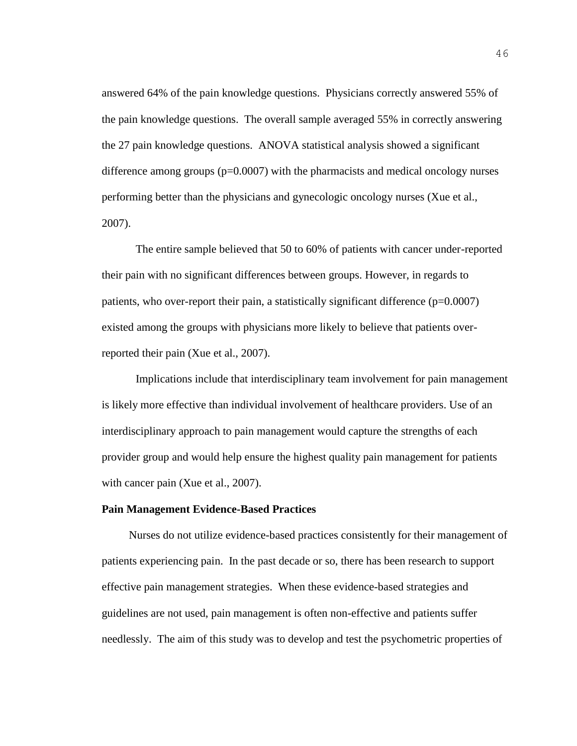answered 64% of the pain knowledge questions. Physicians correctly answered 55% of the pain knowledge questions. The overall sample averaged 55% in correctly answering the 27 pain knowledge questions. ANOVA statistical analysis showed a significant difference among groups  $(p=0.0007)$  with the pharmacists and medical oncology nurses performing better than the physicians and gynecologic oncology nurses (Xue et al., 2007).

The entire sample believed that 50 to 60% of patients with cancer under-reported their pain with no significant differences between groups. However, in regards to patients, who over-report their pain, a statistically significant difference  $(p=0.0007)$ existed among the groups with physicians more likely to believe that patients overreported their pain (Xue et al., 2007).

Implications include that interdisciplinary team involvement for pain management is likely more effective than individual involvement of healthcare providers. Use of an interdisciplinary approach to pain management would capture the strengths of each provider group and would help ensure the highest quality pain management for patients with cancer pain (Xue et al., 2007).

#### **Pain Management Evidence-Based Practices**

Nurses do not utilize evidence-based practices consistently for their management of patients experiencing pain. In the past decade or so, there has been research to support effective pain management strategies. When these evidence-based strategies and guidelines are not used, pain management is often non-effective and patients suffer needlessly. The aim of this study was to develop and test the psychometric properties of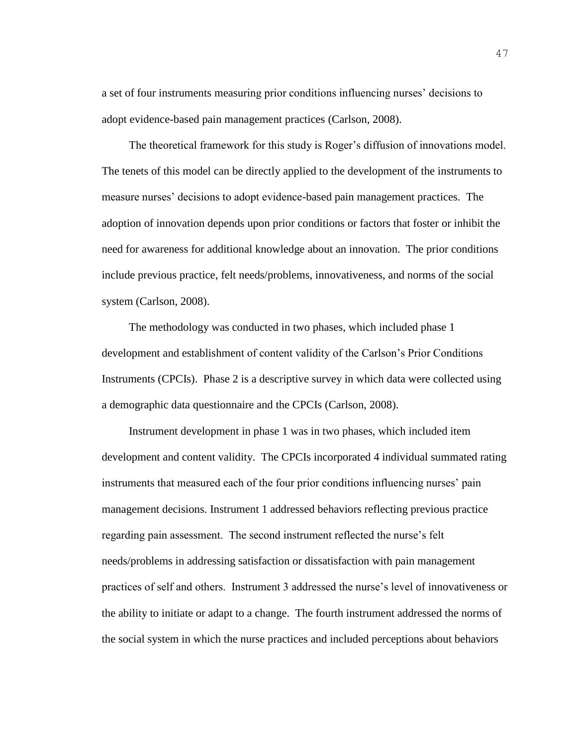a set of four instruments measuring prior conditions influencing nurses' decisions to adopt evidence-based pain management practices (Carlson, 2008).

The theoretical framework for this study is Roger's diffusion of innovations model. The tenets of this model can be directly applied to the development of the instruments to measure nurses' decisions to adopt evidence-based pain management practices. The adoption of innovation depends upon prior conditions or factors that foster or inhibit the need for awareness for additional knowledge about an innovation. The prior conditions include previous practice, felt needs/problems, innovativeness, and norms of the social system (Carlson, 2008).

The methodology was conducted in two phases, which included phase 1 development and establishment of content validity of the Carlson's Prior Conditions Instruments (CPCIs). Phase 2 is a descriptive survey in which data were collected using a demographic data questionnaire and the CPCIs (Carlson, 2008).

Instrument development in phase 1 was in two phases, which included item development and content validity. The CPCIs incorporated 4 individual summated rating instruments that measured each of the four prior conditions influencing nurses' pain management decisions. Instrument 1 addressed behaviors reflecting previous practice regarding pain assessment. The second instrument reflected the nurse's felt needs/problems in addressing satisfaction or dissatisfaction with pain management practices of self and others. Instrument 3 addressed the nurse's level of innovativeness or the ability to initiate or adapt to a change. The fourth instrument addressed the norms of the social system in which the nurse practices and included perceptions about behaviors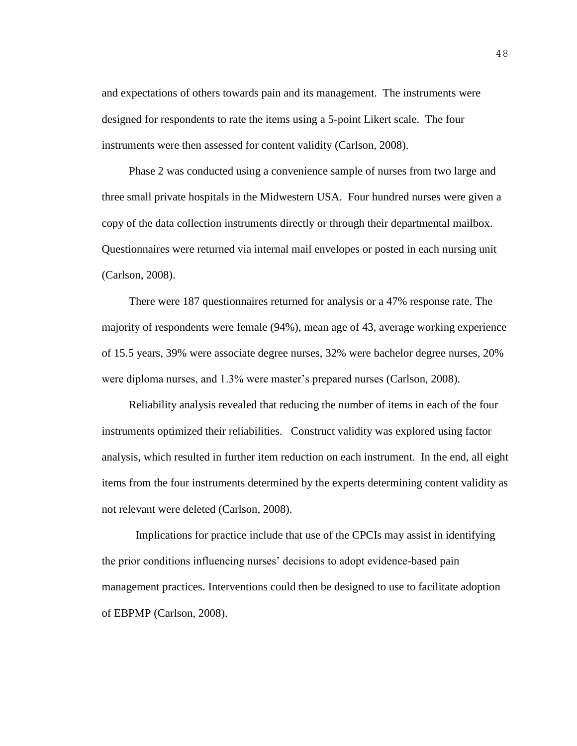and expectations of others towards pain and its management. The instruments were designed for respondents to rate the items using a 5-point Likert scale. The four instruments were then assessed for content validity (Carlson, 2008).

Phase 2 was conducted using a convenience sample of nurses from two large and three small private hospitals in the Midwestern USA. Four hundred nurses were given a copy of the data collection instruments directly or through their departmental mailbox. Questionnaires were returned via internal mail envelopes or posted in each nursing unit (Carlson, 2008).

There were 187 questionnaires returned for analysis or a 47% response rate. The majority of respondents were female (94%), mean age of 43, average working experience of 15.5 years, 39% were associate degree nurses, 32% were bachelor degree nurses, 20% were diploma nurses, and 1.3% were master's prepared nurses (Carlson, 2008).

Reliability analysis revealed that reducing the number of items in each of the four instruments optimized their reliabilities. Construct validity was explored using factor analysis, which resulted in further item reduction on each instrument. In the end, all eight items from the four instruments determined by the experts determining content validity as not relevant were deleted (Carlson, 2008).

Implications for practice include that use of the CPCIs may assist in identifying the prior conditions influencing nurses' decisions to adopt evidence-based pain management practices. Interventions could then be designed to use to facilitate adoption of EBPMP (Carlson, 2008).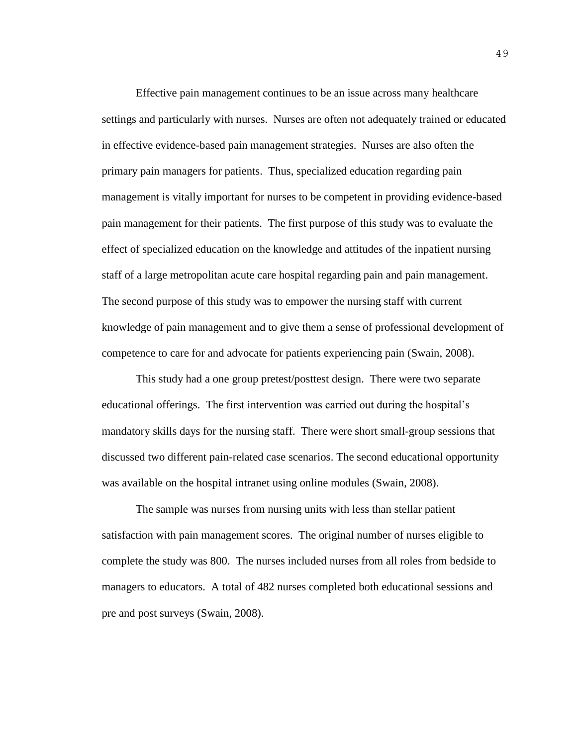Effective pain management continues to be an issue across many healthcare settings and particularly with nurses. Nurses are often not adequately trained or educated in effective evidence-based pain management strategies. Nurses are also often the primary pain managers for patients. Thus, specialized education regarding pain management is vitally important for nurses to be competent in providing evidence-based pain management for their patients. The first purpose of this study was to evaluate the effect of specialized education on the knowledge and attitudes of the inpatient nursing staff of a large metropolitan acute care hospital regarding pain and pain management. The second purpose of this study was to empower the nursing staff with current knowledge of pain management and to give them a sense of professional development of competence to care for and advocate for patients experiencing pain (Swain, 2008).

This study had a one group pretest/posttest design. There were two separate educational offerings. The first intervention was carried out during the hospital's mandatory skills days for the nursing staff. There were short small-group sessions that discussed two different pain-related case scenarios. The second educational opportunity was available on the hospital intranet using online modules (Swain, 2008).

The sample was nurses from nursing units with less than stellar patient satisfaction with pain management scores. The original number of nurses eligible to complete the study was 800. The nurses included nurses from all roles from bedside to managers to educators. A total of 482 nurses completed both educational sessions and pre and post surveys (Swain, 2008).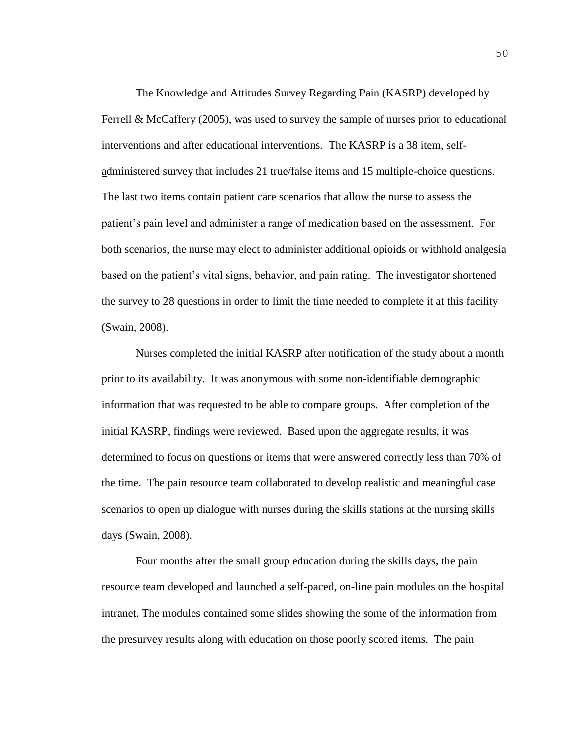The Knowledge and Attitudes Survey Regarding Pain (KASRP) developed by Ferrell & McCaffery (2005), was used to survey the sample of nurses prior to educational interventions and after educational interventions. The KASRP is a 38 item, selfadministered survey that includes 21 true/false items and 15 multiple-choice questions. The last two items contain patient care scenarios that allow the nurse to assess the patient's pain level and administer a range of medication based on the assessment. For both scenarios, the nurse may elect to administer additional opioids or withhold analgesia based on the patient's vital signs, behavior, and pain rating. The investigator shortened the survey to 28 questions in order to limit the time needed to complete it at this facility (Swain, 2008).

Nurses completed the initial KASRP after notification of the study about a month prior to its availability. It was anonymous with some non-identifiable demographic information that was requested to be able to compare groups. After completion of the initial KASRP, findings were reviewed. Based upon the aggregate results, it was determined to focus on questions or items that were answered correctly less than 70% of the time. The pain resource team collaborated to develop realistic and meaningful case scenarios to open up dialogue with nurses during the skills stations at the nursing skills days (Swain, 2008).

Four months after the small group education during the skills days, the pain resource team developed and launched a self-paced, on-line pain modules on the hospital intranet. The modules contained some slides showing the some of the information from the presurvey results along with education on those poorly scored items. The pain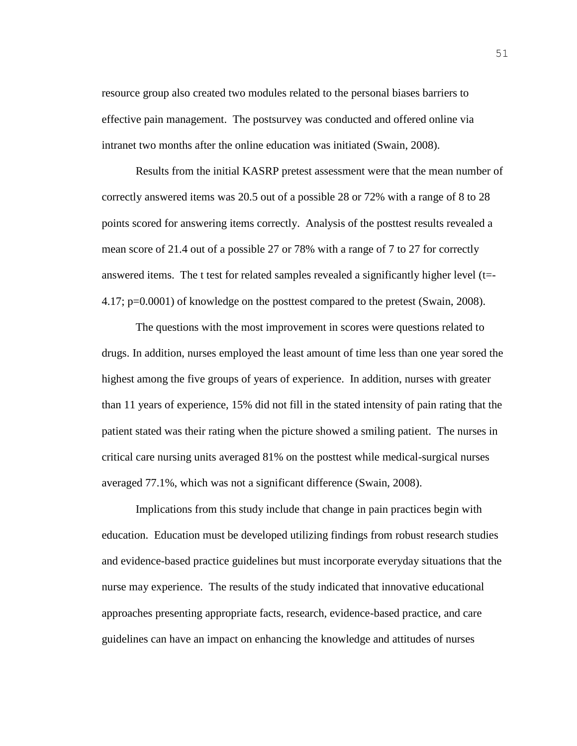resource group also created two modules related to the personal biases barriers to effective pain management. The postsurvey was conducted and offered online via intranet two months after the online education was initiated (Swain, 2008).

Results from the initial KASRP pretest assessment were that the mean number of correctly answered items was 20.5 out of a possible 28 or 72% with a range of 8 to 28 points scored for answering items correctly. Analysis of the posttest results revealed a mean score of 21.4 out of a possible 27 or 78% with a range of 7 to 27 for correctly answered items. The t test for related samples revealed a significantly higher level (t=- 4.17; p=0.0001) of knowledge on the posttest compared to the pretest (Swain, 2008).

The questions with the most improvement in scores were questions related to drugs. In addition, nurses employed the least amount of time less than one year sored the highest among the five groups of years of experience. In addition, nurses with greater than 11 years of experience, 15% did not fill in the stated intensity of pain rating that the patient stated was their rating when the picture showed a smiling patient. The nurses in critical care nursing units averaged 81% on the posttest while medical-surgical nurses averaged 77.1%, which was not a significant difference (Swain, 2008).

Implications from this study include that change in pain practices begin with education. Education must be developed utilizing findings from robust research studies and evidence-based practice guidelines but must incorporate everyday situations that the nurse may experience. The results of the study indicated that innovative educational approaches presenting appropriate facts, research, evidence-based practice, and care guidelines can have an impact on enhancing the knowledge and attitudes of nurses

51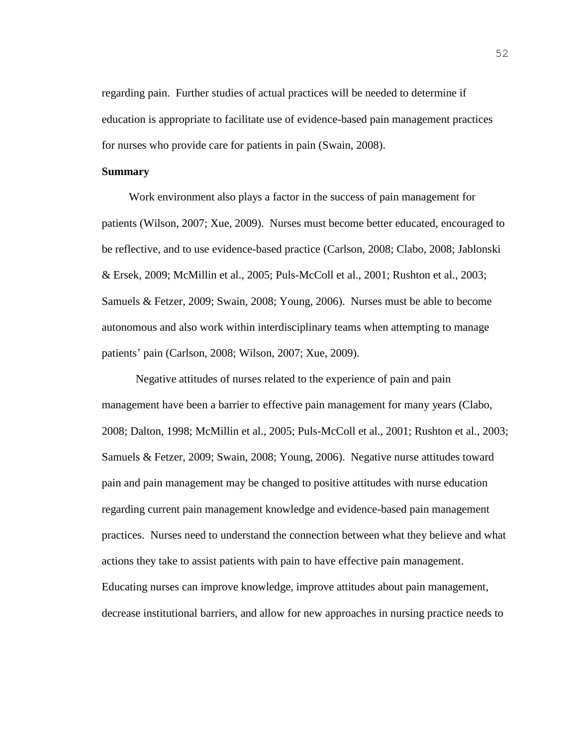regarding pain. Further studies of actual practices will be needed to determine if education is appropriate to facilitate use of evidence-based pain management practices for nurses who provide care for patients in pain (Swain, 2008).

#### **Summary**

Work environment also plays a factor in the success of pain management for patients (Wilson, 2007; Xue, 2009). Nurses must become better educated, encouraged to be reflective, and to use evidence-based practice (Carlson, 2008; Clabo, 2008; Jablonski & Ersek, 2009; McMillin et al., 2005; Puls-McColl et al., 2001; Rushton et al., 2003; Samuels & Fetzer, 2009; Swain, 2008; Young, 2006). Nurses must be able to become autonomous and also work within interdisciplinary teams when attempting to manage patients' pain (Carlson, 2008; Wilson, 2007; Xue, 2009).

Negative attitudes of nurses related to the experience of pain and pain management have been a barrier to effective pain management for many years (Clabo, 2008; Dalton, 1998; McMillin et al., 2005; Puls-McColl et al., 2001; Rushton et al., 2003; Samuels & Fetzer, 2009; Swain, 2008; Young, 2006). Negative nurse attitudes toward pain and pain management may be changed to positive attitudes with nurse education regarding current pain management knowledge and evidence-based pain management practices. Nurses need to understand the connection between what they believe and what actions they take to assist patients with pain to have effective pain management. Educating nurses can improve knowledge, improve attitudes about pain management, decrease institutional barriers, and allow for new approaches in nursing practice needs to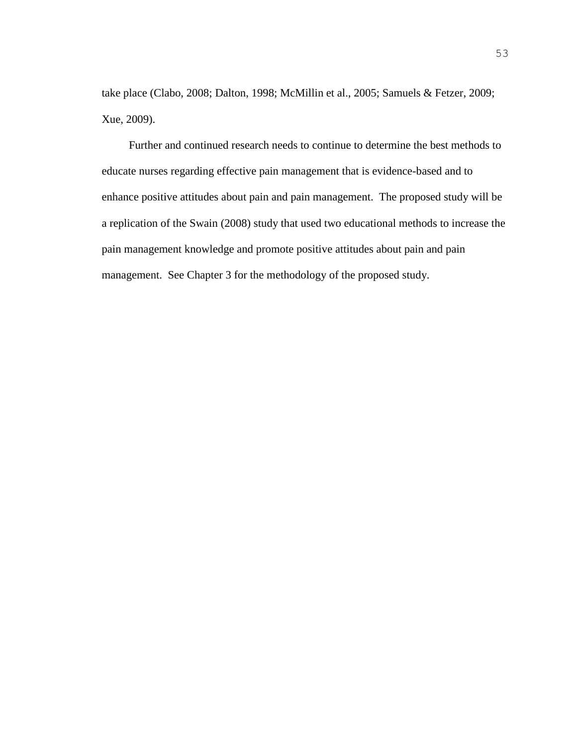take place (Clabo, 2008; Dalton, 1998; McMillin et al., 2005; Samuels & Fetzer, 2009; Xue, 2009).

Further and continued research needs to continue to determine the best methods to educate nurses regarding effective pain management that is evidence-based and to enhance positive attitudes about pain and pain management. The proposed study will be a replication of the Swain (2008) study that used two educational methods to increase the pain management knowledge and promote positive attitudes about pain and pain management. See Chapter 3 for the methodology of the proposed study.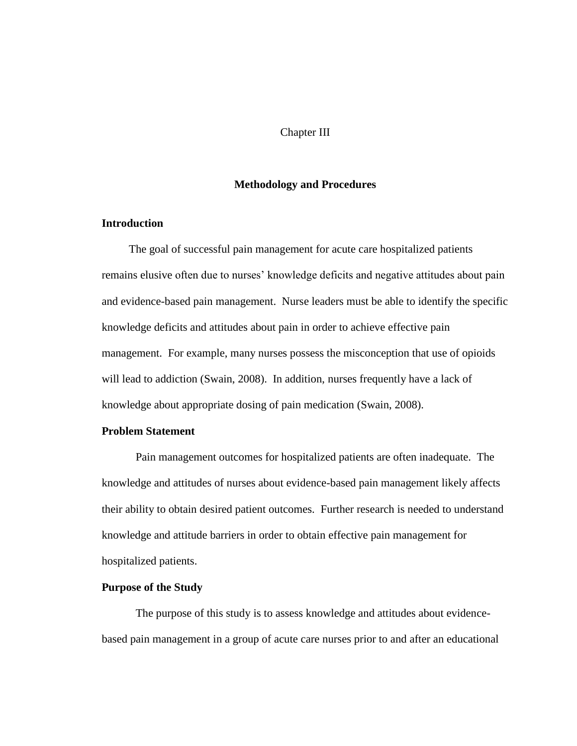#### Chapter III

#### **Methodology and Procedures**

#### **Introduction**

The goal of successful pain management for acute care hospitalized patients remains elusive often due to nurses' knowledge deficits and negative attitudes about pain and evidence-based pain management. Nurse leaders must be able to identify the specific knowledge deficits and attitudes about pain in order to achieve effective pain management. For example, many nurses possess the misconception that use of opioids will lead to addiction (Swain, 2008). In addition, nurses frequently have a lack of knowledge about appropriate dosing of pain medication (Swain, 2008).

#### **Problem Statement**

Pain management outcomes for hospitalized patients are often inadequate. The knowledge and attitudes of nurses about evidence-based pain management likely affects their ability to obtain desired patient outcomes. Further research is needed to understand knowledge and attitude barriers in order to obtain effective pain management for hospitalized patients.

#### **Purpose of the Study**

The purpose of this study is to assess knowledge and attitudes about evidencebased pain management in a group of acute care nurses prior to and after an educational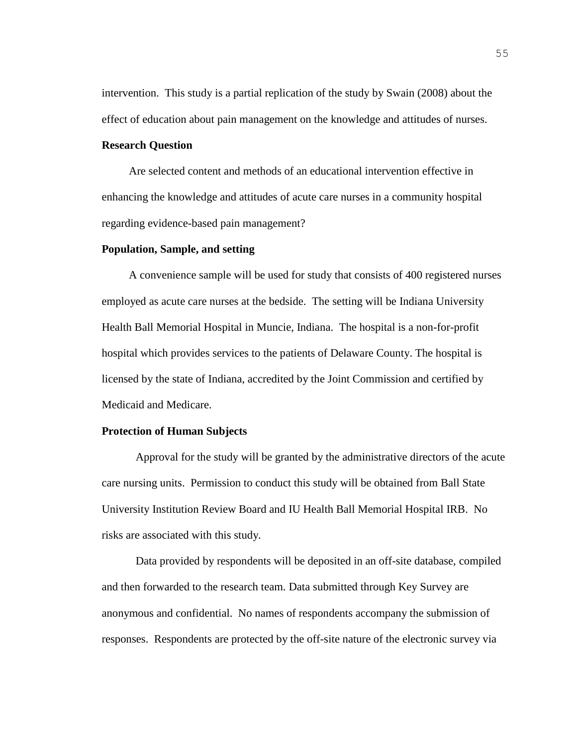intervention. This study is a partial replication of the study by Swain (2008) about the effect of education about pain management on the knowledge and attitudes of nurses.

#### **Research Question**

Are selected content and methods of an educational intervention effective in enhancing the knowledge and attitudes of acute care nurses in a community hospital regarding evidence-based pain management?

#### **Population, Sample, and setting**

A convenience sample will be used for study that consists of 400 registered nurses employed as acute care nurses at the bedside. The setting will be Indiana University Health Ball Memorial Hospital in Muncie, Indiana. The hospital is a non-for-profit hospital which provides services to the patients of Delaware County. The hospital is licensed by the state of Indiana, accredited by the Joint Commission and certified by Medicaid and Medicare.

#### **Protection of Human Subjects**

Approval for the study will be granted by the administrative directors of the acute care nursing units. Permission to conduct this study will be obtained from Ball State University Institution Review Board and IU Health Ball Memorial Hospital IRB. No risks are associated with this study.

Data provided by respondents will be deposited in an off-site database, compiled and then forwarded to the research team. Data submitted through Key Survey are anonymous and confidential. No names of respondents accompany the submission of responses.Respondents are protected by the off-site nature of the electronic survey via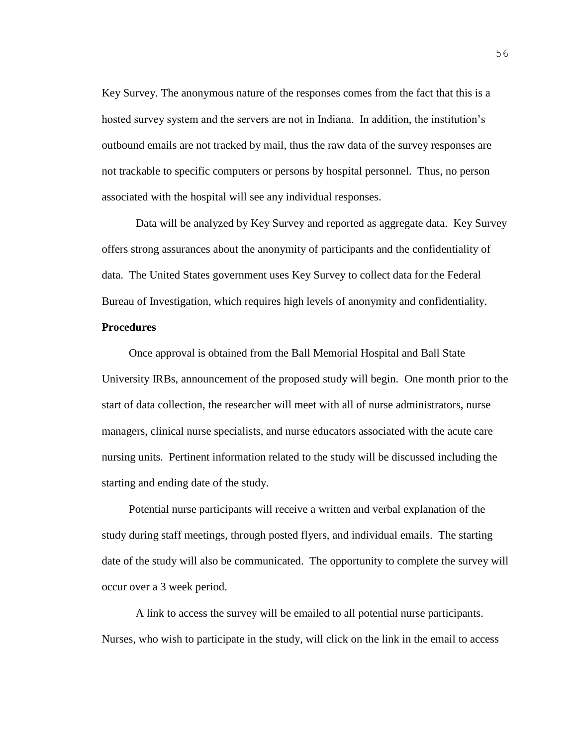Key Survey. The anonymous nature of the responses comes from the fact that this is a hosted survey system and the servers are not in Indiana. In addition, the institution's outbound emails are not tracked by mail, thus the raw data of the survey responses are not trackable to specific computers or persons by hospital personnel. Thus, no person associated with the hospital will see any individual responses.

Data will be analyzed by Key Survey and reported as aggregate data. Key Survey offers strong assurances about the anonymity of participants and the confidentiality of data. The United States government uses Key Survey to collect data for the Federal Bureau of Investigation, which requires high levels of anonymity and confidentiality. **Procedures**

Once approval is obtained from the Ball Memorial Hospital and Ball State University IRBs, announcement of the proposed study will begin. One month prior to the start of data collection, the researcher will meet with all of nurse administrators, nurse managers, clinical nurse specialists, and nurse educators associated with the acute care nursing units. Pertinent information related to the study will be discussed including the starting and ending date of the study.

Potential nurse participants will receive a written and verbal explanation of the study during staff meetings, through posted flyers, and individual emails. The starting date of the study will also be communicated. The opportunity to complete the survey will occur over a 3 week period.

A link to access the survey will be emailed to all potential nurse participants. Nurses, who wish to participate in the study, will click on the link in the email to access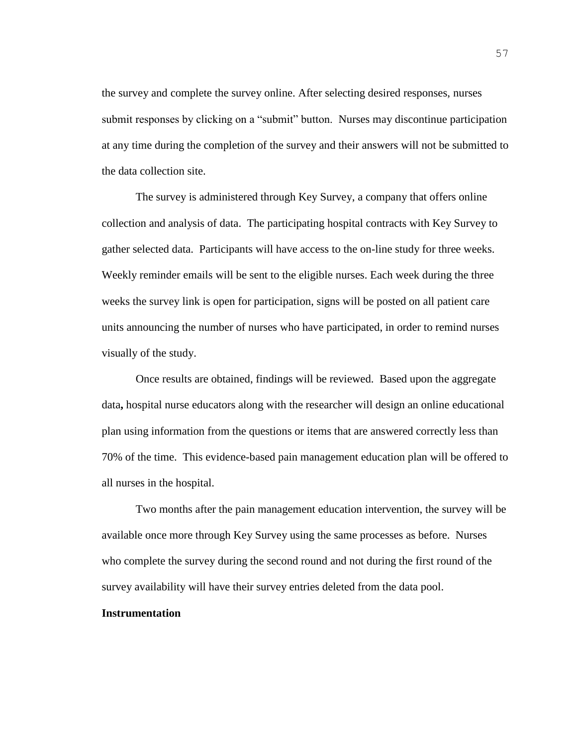the survey and complete the survey online. After selecting desired responses, nurses submit responses by clicking on a "submit" button. Nurses may discontinue participation at any time during the completion of the survey and their answers will not be submitted to the data collection site.

The survey is administered through Key Survey, a company that offers online collection and analysis of data. The participating hospital contracts with Key Survey to gather selected data. Participants will have access to the on-line study for three weeks. Weekly reminder emails will be sent to the eligible nurses. Each week during the three weeks the survey link is open for participation, signs will be posted on all patient care units announcing the number of nurses who have participated, in order to remind nurses visually of the study.

Once results are obtained, findings will be reviewed. Based upon the aggregate data**,** hospital nurse educators along with the researcher will design an online educational plan using information from the questions or items that are answered correctly less than 70% of the time. This evidence-based pain management education plan will be offered to all nurses in the hospital.

Two months after the pain management education intervention, the survey will be available once more through Key Survey using the same processes as before. Nurses who complete the survey during the second round and not during the first round of the survey availability will have their survey entries deleted from the data pool.

#### **Instrumentation**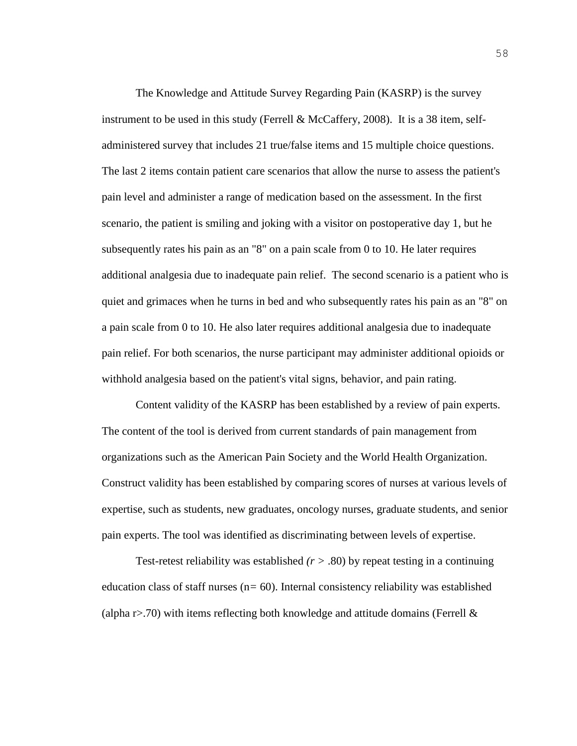The Knowledge and Attitude Survey Regarding Pain (KASRP) is the survey instrument to be used in this study (Ferrell & McCaffery, 2008). It is a 38 item, selfadministered survey that includes 21 true/false items and 15 multiple choice questions. The last 2 items contain patient care scenarios that allow the nurse to assess the patient's pain level and administer a range of medication based on the assessment. In the first scenario, the patient is smiling and joking with a visitor on postoperative day 1, but he subsequently rates his pain as an "8" on a pain scale from 0 to 10. He later requires additional analgesia due to inadequate pain relief. The second scenario is a patient who is quiet and grimaces when he turns in bed and who subsequently rates his pain as an "8" on a pain scale from 0 to 10. He also later requires additional analgesia due to inadequate pain relief. For both scenarios, the nurse participant may administer additional opioids or withhold analgesia based on the patient's vital signs, behavior, and pain rating.

Content validity of the KASRP has been established by a review of pain experts. The content of the tool is derived from current standards of pain management from organizations such as the American Pain Society and the World Health Organization. Construct validity has been established by comparing scores of nurses at various levels of expertise, such as students, new graduates, oncology nurses, graduate students, and senior pain experts. The tool was identified as discriminating between levels of expertise.

Test-retest reliability was established  $(r > .80)$  by repeat testing in a continuing education class of staff nurses (n*=* 60). Internal consistency reliability was established (alpha  $r > 70$ ) with items reflecting both knowledge and attitude domains (Ferrell  $\&$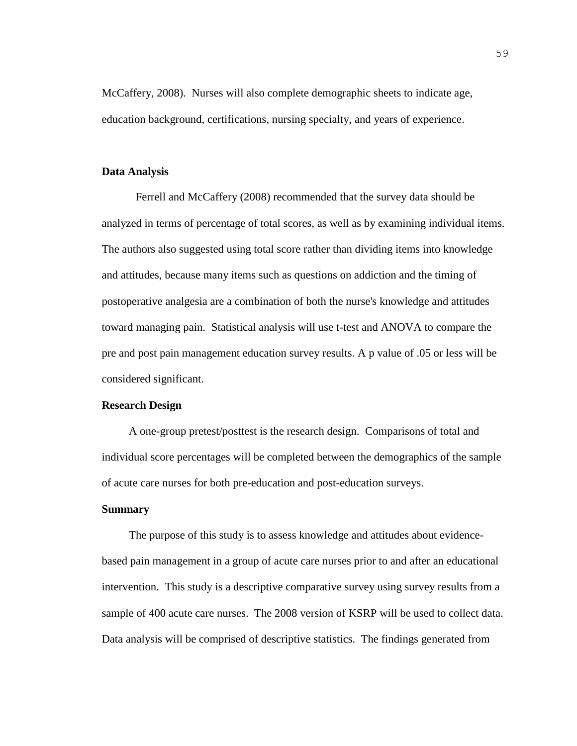McCaffery, 2008). Nurses will also complete demographic sheets to indicate age, education background, certifications, nursing specialty, and years of experience.

#### **Data Analysis**

Ferrell and McCaffery (2008) recommended that the survey data should be analyzed in terms of percentage of total scores, as well as by examining individual items. The authors also suggested using total score rather than dividing items into knowledge and attitudes, because many items such as questions on addiction and the timing of postoperative analgesia are a combination of both the nurse's knowledge and attitudes toward managing pain. Statistical analysis will use t-test and ANOVA to compare the pre and post pain management education survey results. A p value of .05 or less will be considered significant.

#### **Research Design**

A one-group pretest/posttest is the research design. Comparisons of total and individual score percentages will be completed between the demographics of the sample of acute care nurses for both pre-education and post-education surveys.

#### **Summary**

The purpose of this study is to assess knowledge and attitudes about evidencebased pain management in a group of acute care nurses prior to and after an educational intervention. This study is a descriptive comparative survey using survey results from a sample of 400 acute care nurses. The 2008 version of KSRP will be used to collect data. Data analysis will be comprised of descriptive statistics. The findings generated from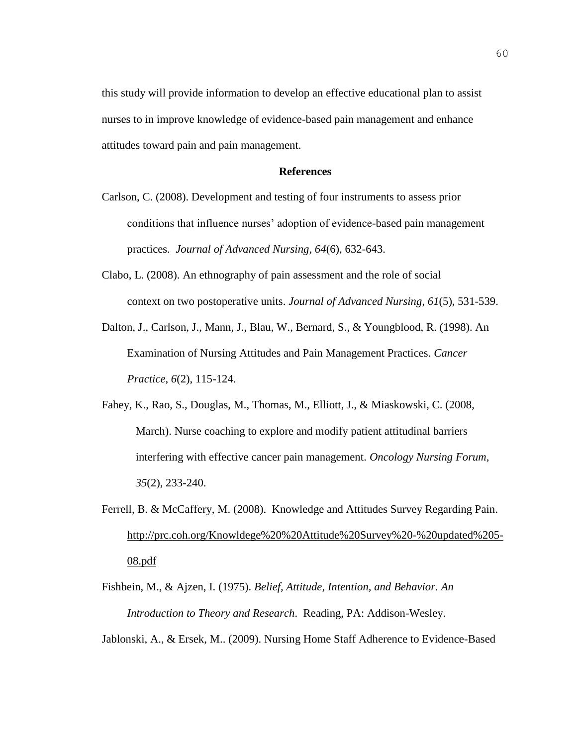this study will provide information to develop an effective educational plan to assist nurses to in improve knowledge of evidence-based pain management and enhance attitudes toward pain and pain management.

#### **References**

- Carlson, C. (2008). Development and testing of four instruments to assess prior conditions that influence nurses' adoption of evidence-based pain management practices. *Journal of Advanced Nursing, 64*(6), 632-643.
- Clabo, L. (2008). An ethnography of pain assessment and the role of social context on two postoperative units. *Journal of Advanced Nursing*, *61*(5), 531-539.
- Dalton, J., Carlson, J., Mann, J., Blau, W., Bernard, S., & Youngblood, R. (1998). An Examination of Nursing Attitudes and Pain Management Practices. *Cancer Practice*, *6*(2), 115-124.
- Fahey, K., Rao, S., Douglas, M., Thomas, M., Elliott, J., & Miaskowski, C. (2008, March). Nurse coaching to explore and modify patient attitudinal barriers interfering with effective cancer pain management. *Oncology Nursing Forum*, *35*(2), 233-240.
- Ferrell, B. & McCaffery, M. (2008). Knowledge and Attitudes Survey Regarding Pain. [http://prc.coh.org/Knowldege%20%20Attitude%20Survey%20-%20updated%205-](http://prc.coh.org/Knowldege%20%20Attitude%20Survey%20-%20updated%205-08.pdf) [08.pdf](http://prc.coh.org/Knowldege%20%20Attitude%20Survey%20-%20updated%205-08.pdf)
- Fishbein, M., & Ajzen, I. (1975). *Belief, Attitude, Intention, and Behavior. An Introduction to Theory and Research*. Reading, PA: Addison-Wesley.

Jablonski, A., & Ersek, M.. (2009). Nursing Home Staff Adherence to Evidence-Based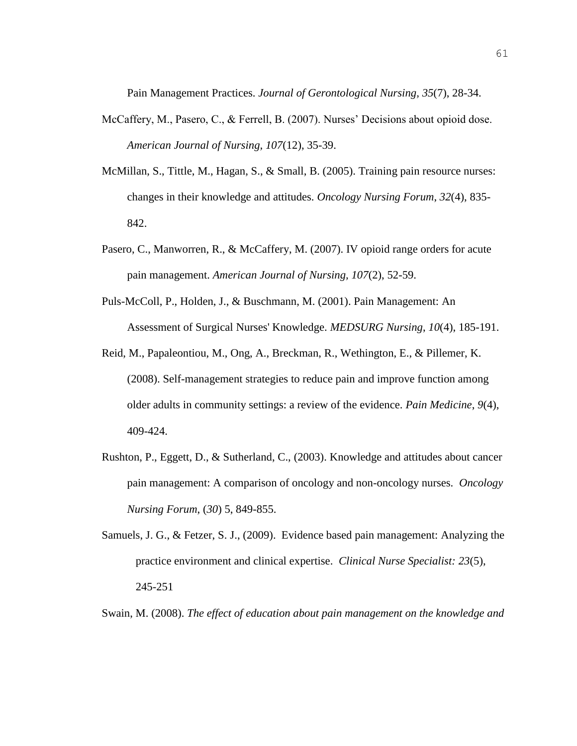Pain Management Practices. *Journal of Gerontological Nursing, 35*(7), 28-34.

- McCaffery, M., Pasero, C., & Ferrell, B. (2007). Nurses' Decisions about opioid dose. *American Journal of Nursing, 107*(12), 35-39.
- McMillan, S., Tittle, M., Hagan, S., & Small, B. (2005). Training pain resource nurses: changes in their knowledge and attitudes. *Oncology Nursing Forum*, *32*(4), 835- 842.
- Pasero, C., Manworren, R., & McCaffery, M. (2007). IV opioid range orders for acute pain management. *American Journal of Nursing, 107*(2), 52-59.
- Puls-McColl, P., Holden, J., & Buschmann, M. (2001). Pain Management: An Assessment of Surgical Nurses' Knowledge. *MEDSURG Nursing*, *10*(4), 185-191.
- Reid, M., Papaleontiou, M., Ong, A., Breckman, R., Wethington, E., & Pillemer, K. (2008). Self-management strategies to reduce pain and improve function among older adults in community settings: a review of the evidence. *Pain Medicine*, *9*(4), 409-424.
- Rushton, P., Eggett, D., & Sutherland, C., (2003). Knowledge and attitudes about cancer pain management: A comparison of oncology and non-oncology nurses. *Oncology Nursing Forum*, (*30*) 5, 849-855.
- Samuels, J. G., & Fetzer, S. J., (2009). Evidence based pain management: Analyzing the practice environment and clinical expertise. *Clinical Nurse Specialist: 23*(5), 245-251

Swain, M. (2008). *The effect of education about pain management on the knowledge and*